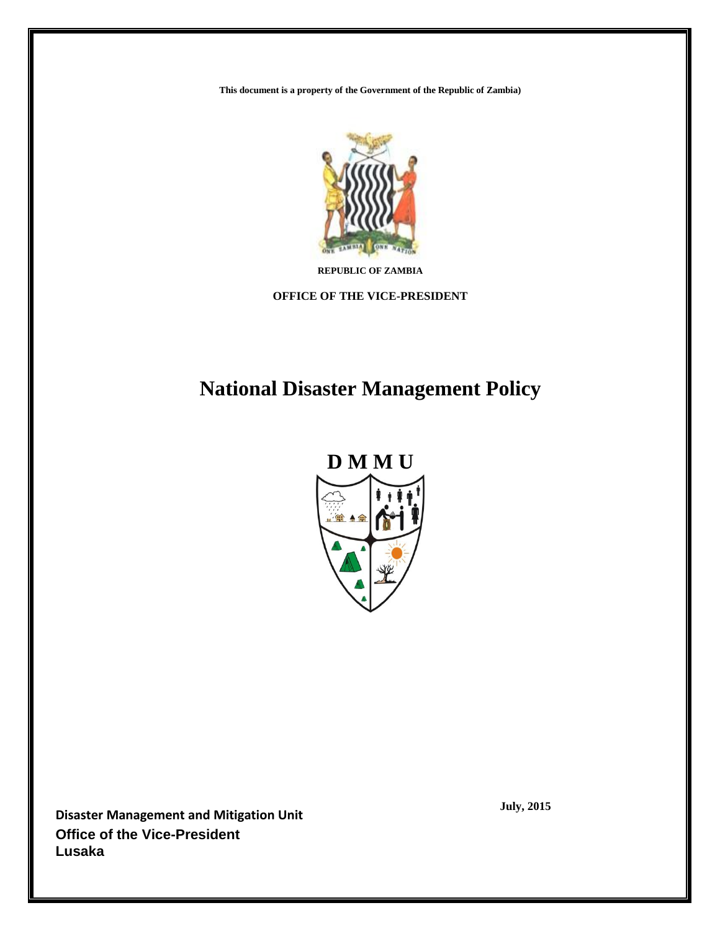**This document is a property of the Government of the Republic of Zambia)**



**REPUBLIC OF ZAMBIA**

**OFFICE OF THE VICE-PRESIDENT**

# **National Disaster Management Policy**



**Disaster Management and Mitigation Unit Office of the Vice-President Lusaka**

**July, 2015**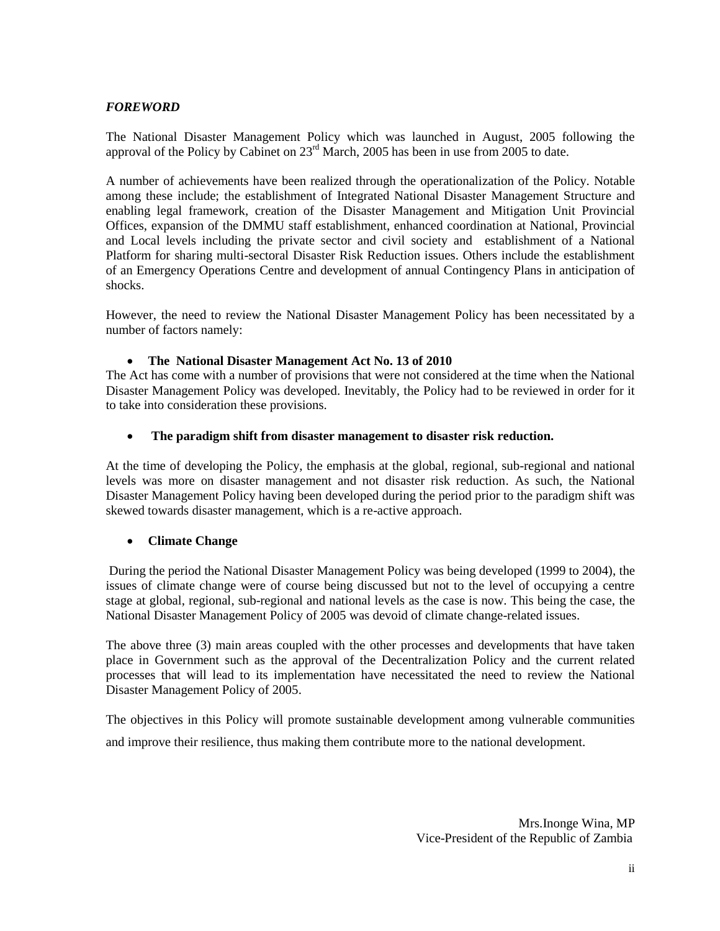### *FOREWORD*

The National Disaster Management Policy which was launched in August, 2005 following the approval of the Policy by Cabinet on  $23<sup>rd</sup>$  March, 2005 has been in use from 2005 to date.

A number of achievements have been realized through the operationalization of the Policy. Notable among these include; the establishment of Integrated National Disaster Management Structure and enabling legal framework, creation of the Disaster Management and Mitigation Unit Provincial Offices, expansion of the DMMU staff establishment, enhanced coordination at National, Provincial and Local levels including the private sector and civil society and establishment of a National Platform for sharing multi-sectoral Disaster Risk Reduction issues. Others include the establishment of an Emergency Operations Centre and development of annual Contingency Plans in anticipation of shocks.

However, the need to review the National Disaster Management Policy has been necessitated by a number of factors namely:

### **The National Disaster Management Act No. 13 of 2010**

The Act has come with a number of provisions that were not considered at the time when the National Disaster Management Policy was developed. Inevitably, the Policy had to be reviewed in order for it to take into consideration these provisions.

### **The paradigm shift from disaster management to disaster risk reduction.**

At the time of developing the Policy, the emphasis at the global, regional, sub-regional and national levels was more on disaster management and not disaster risk reduction. As such, the National Disaster Management Policy having been developed during the period prior to the paradigm shift was skewed towards disaster management, which is a re-active approach.

### **Climate Change**

During the period the National Disaster Management Policy was being developed (1999 to 2004), the issues of climate change were of course being discussed but not to the level of occupying a centre stage at global, regional, sub-regional and national levels as the case is now. This being the case, the National Disaster Management Policy of 2005 was devoid of climate change-related issues.

The above three (3) main areas coupled with the other processes and developments that have taken place in Government such as the approval of the Decentralization Policy and the current related processes that will lead to its implementation have necessitated the need to review the National Disaster Management Policy of 2005.

The objectives in this Policy will promote sustainable development among vulnerable communities and improve their resilience, thus making them contribute more to the national development.

> Mrs.Inonge Wina, MP Vice-President of the Republic of Zambia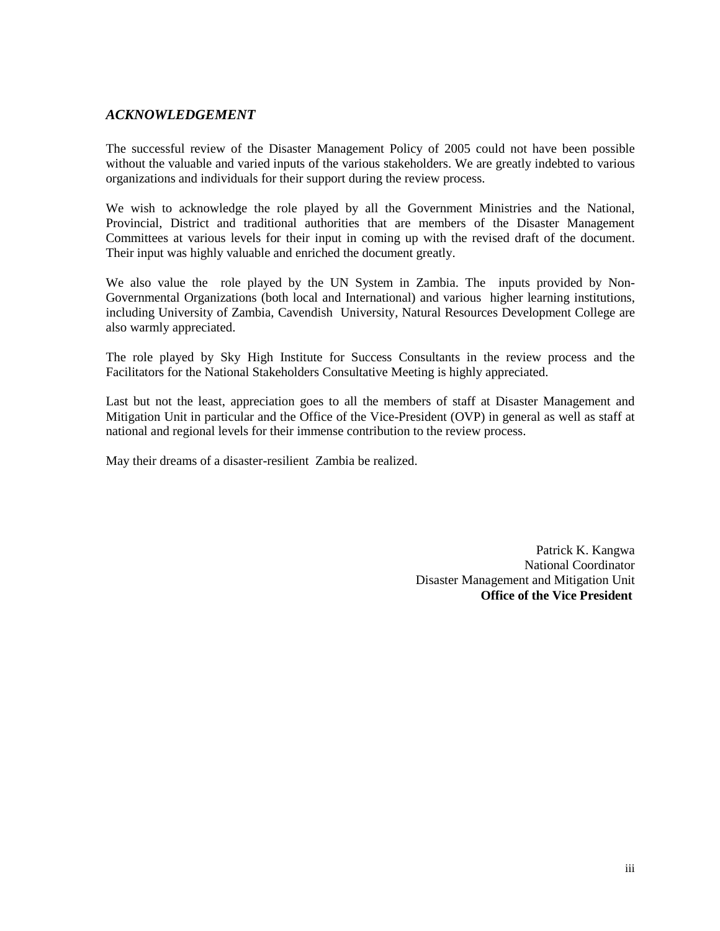### *ACKNOWLEDGEMENT*

The successful review of the Disaster Management Policy of 2005 could not have been possible without the valuable and varied inputs of the various stakeholders. We are greatly indebted to various organizations and individuals for their support during the review process.

We wish to acknowledge the role played by all the Government Ministries and the National, Provincial, District and traditional authorities that are members of the Disaster Management Committees at various levels for their input in coming up with the revised draft of the document. Their input was highly valuable and enriched the document greatly.

We also value the role played by the UN System in Zambia. The inputs provided by Non-Governmental Organizations (both local and International) and various higher learning institutions, including University of Zambia, Cavendish University, Natural Resources Development College are also warmly appreciated.

The role played by Sky High Institute for Success Consultants in the review process and the Facilitators for the National Stakeholders Consultative Meeting is highly appreciated.

Last but not the least, appreciation goes to all the members of staff at Disaster Management and Mitigation Unit in particular and the Office of the Vice-President (OVP) in general as well as staff at national and regional levels for their immense contribution to the review process.

May their dreams of a disaster-resilient Zambia be realized.

Patrick K. Kangwa National Coordinator Disaster Management and Mitigation Unit  **Office of the Vice President**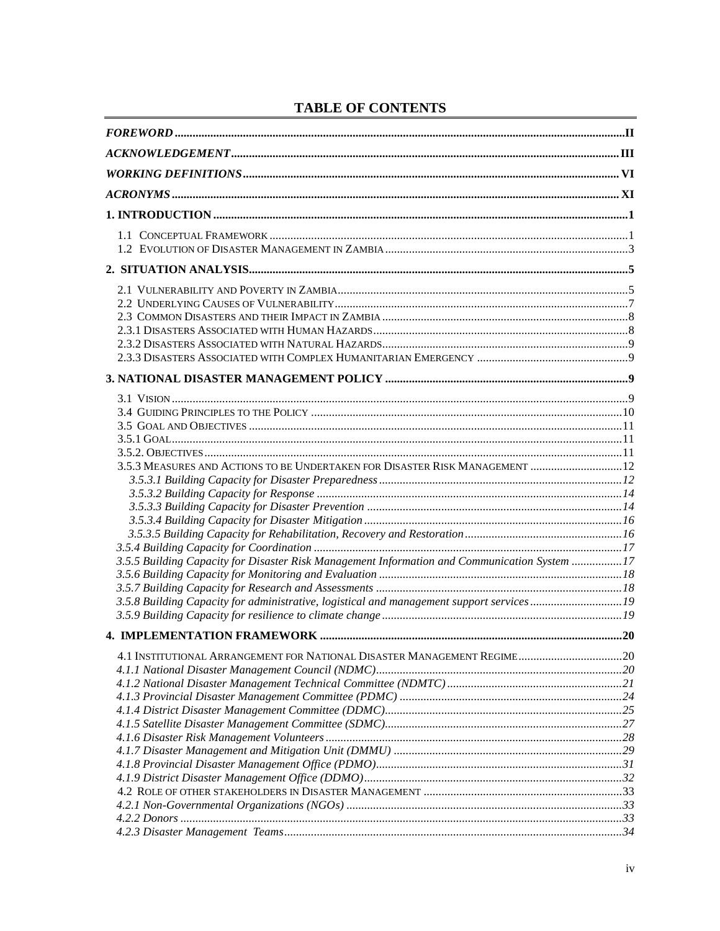|  |  |  |  | <b>TABLE OF CONTENTS</b> |  |  |
|--|--|--|--|--------------------------|--|--|
|--|--|--|--|--------------------------|--|--|

| 3.5.3 MEASURES AND ACTIONS TO BE UNDERTAKEN FOR DISASTER RISK MANAGEMENT  12                 |  |
|----------------------------------------------------------------------------------------------|--|
|                                                                                              |  |
|                                                                                              |  |
|                                                                                              |  |
|                                                                                              |  |
|                                                                                              |  |
|                                                                                              |  |
| 3.5.5 Building Capacity for Disaster Risk Management Information and Communication System 17 |  |
|                                                                                              |  |
|                                                                                              |  |
| 3.5.8 Building Capacity for administrative, logistical and management support services19     |  |
|                                                                                              |  |
|                                                                                              |  |
|                                                                                              |  |
|                                                                                              |  |
|                                                                                              |  |
|                                                                                              |  |
|                                                                                              |  |
|                                                                                              |  |
|                                                                                              |  |
|                                                                                              |  |
|                                                                                              |  |
|                                                                                              |  |
|                                                                                              |  |
|                                                                                              |  |
|                                                                                              |  |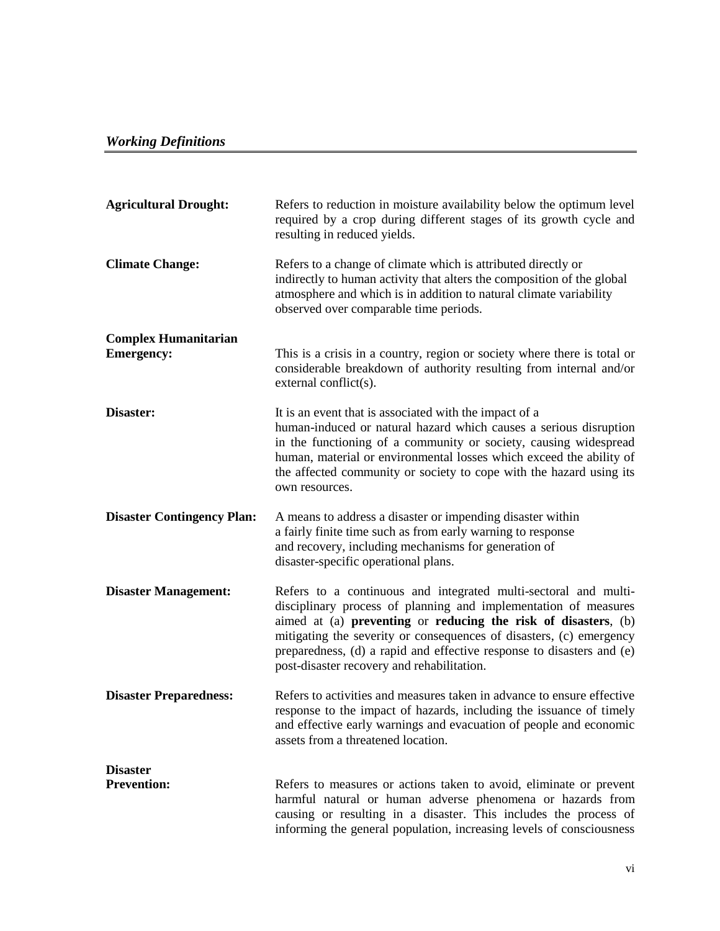## *Working Definitions*

| <b>Agricultural Drought:</b>                     | Refers to reduction in moisture availability below the optimum level<br>required by a crop during different stages of its growth cycle and<br>resulting in reduced yields.                                                                                                                                                                                                                         |
|--------------------------------------------------|----------------------------------------------------------------------------------------------------------------------------------------------------------------------------------------------------------------------------------------------------------------------------------------------------------------------------------------------------------------------------------------------------|
| <b>Climate Change:</b>                           | Refers to a change of climate which is attributed directly or<br>indirectly to human activity that alters the composition of the global<br>atmosphere and which is in addition to natural climate variability<br>observed over comparable time periods.                                                                                                                                            |
| <b>Complex Humanitarian</b><br><b>Emergency:</b> | This is a crisis in a country, region or society where there is total or<br>considerable breakdown of authority resulting from internal and/or<br>external conflict(s).                                                                                                                                                                                                                            |
| Disaster:                                        | It is an event that is associated with the impact of a<br>human-induced or natural hazard which causes a serious disruption<br>in the functioning of a community or society, causing widespread<br>human, material or environmental losses which exceed the ability of<br>the affected community or society to cope with the hazard using its<br>own resources.                                    |
| <b>Disaster Contingency Plan:</b>                | A means to address a disaster or impending disaster within<br>a fairly finite time such as from early warning to response<br>and recovery, including mechanisms for generation of<br>disaster-specific operational plans.                                                                                                                                                                          |
| <b>Disaster Management:</b>                      | Refers to a continuous and integrated multi-sectoral and multi-<br>disciplinary process of planning and implementation of measures<br>aimed at (a) preventing or reducing the risk of disasters, (b)<br>mitigating the severity or consequences of disasters, (c) emergency<br>preparedness, (d) a rapid and effective response to disasters and (e)<br>post-disaster recovery and rehabilitation. |
| <b>Disaster Preparedness:</b>                    | Refers to activities and measures taken in advance to ensure effective<br>response to the impact of hazards, including the issuance of timely<br>and effective early warnings and evacuation of people and economic<br>assets from a threatened location.                                                                                                                                          |
| <b>Disaster</b><br><b>Prevention:</b>            | Refers to measures or actions taken to avoid, eliminate or prevent<br>harmful natural or human adverse phenomena or hazards from<br>causing or resulting in a disaster. This includes the process of<br>informing the general population, increasing levels of consciousness                                                                                                                       |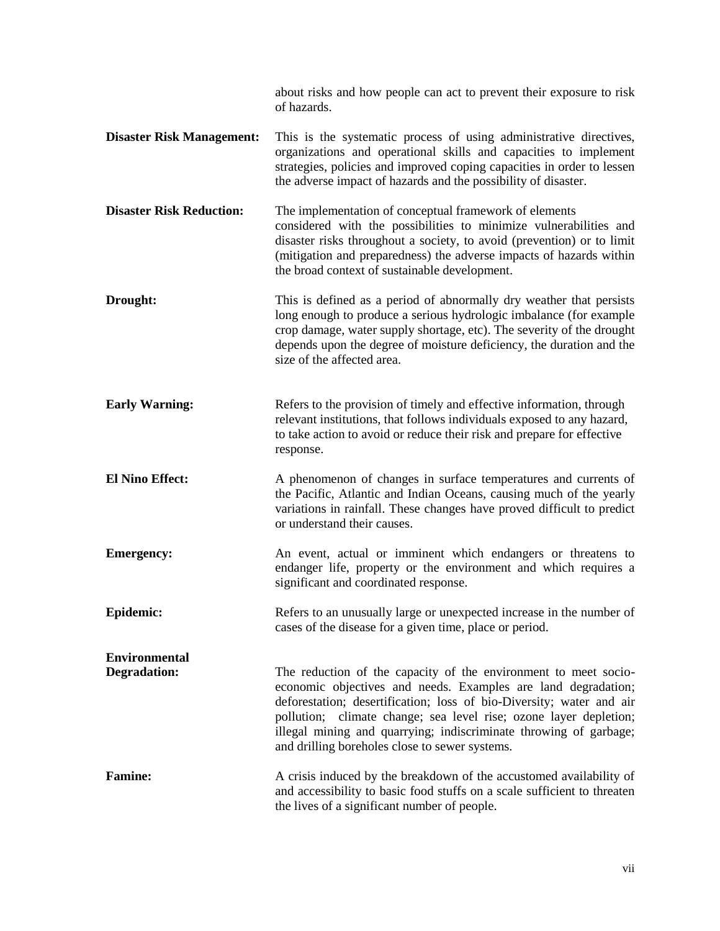|                                             | about risks and how people can act to prevent their exposure to risk<br>of hazards.                                                                                                                                                                                                                                                                                                                  |
|---------------------------------------------|------------------------------------------------------------------------------------------------------------------------------------------------------------------------------------------------------------------------------------------------------------------------------------------------------------------------------------------------------------------------------------------------------|
| <b>Disaster Risk Management:</b>            | This is the systematic process of using administrative directives,<br>organizations and operational skills and capacities to implement<br>strategies, policies and improved coping capacities in order to lessen<br>the adverse impact of hazards and the possibility of disaster.                                                                                                                   |
| <b>Disaster Risk Reduction:</b>             | The implementation of conceptual framework of elements<br>considered with the possibilities to minimize vulnerabilities and<br>disaster risks throughout a society, to avoid (prevention) or to limit<br>(mitigation and preparedness) the adverse impacts of hazards within<br>the broad context of sustainable development.                                                                        |
| Drought:                                    | This is defined as a period of abnormally dry weather that persists<br>long enough to produce a serious hydrologic imbalance (for example<br>crop damage, water supply shortage, etc). The severity of the drought<br>depends upon the degree of moisture deficiency, the duration and the<br>size of the affected area.                                                                             |
| <b>Early Warning:</b>                       | Refers to the provision of timely and effective information, through<br>relevant institutions, that follows individuals exposed to any hazard,<br>to take action to avoid or reduce their risk and prepare for effective<br>response.                                                                                                                                                                |
| <b>El Nino Effect:</b>                      | A phenomenon of changes in surface temperatures and currents of<br>the Pacific, Atlantic and Indian Oceans, causing much of the yearly<br>variations in rainfall. These changes have proved difficult to predict<br>or understand their causes.                                                                                                                                                      |
| <b>Emergency:</b>                           | An event, actual or imminent which endangers or threatens to<br>endanger life, property or the environment and which requires a<br>significant and coordinated response.                                                                                                                                                                                                                             |
| Epidemic:                                   | Refers to an unusually large or unexpected increase in the number of<br>cases of the disease for a given time, place or period.                                                                                                                                                                                                                                                                      |
| <b>Environmental</b><br><b>Degradation:</b> | The reduction of the capacity of the environment to meet socio-<br>economic objectives and needs. Examples are land degradation;<br>deforestation; desertification; loss of bio-Diversity; water and air<br>pollution; climate change; sea level rise; ozone layer depletion;<br>illegal mining and quarrying; indiscriminate throwing of garbage;<br>and drilling boreholes close to sewer systems. |
| <b>Famine:</b>                              | A crisis induced by the breakdown of the accustomed availability of<br>and accessibility to basic food stuffs on a scale sufficient to threaten<br>the lives of a significant number of people.                                                                                                                                                                                                      |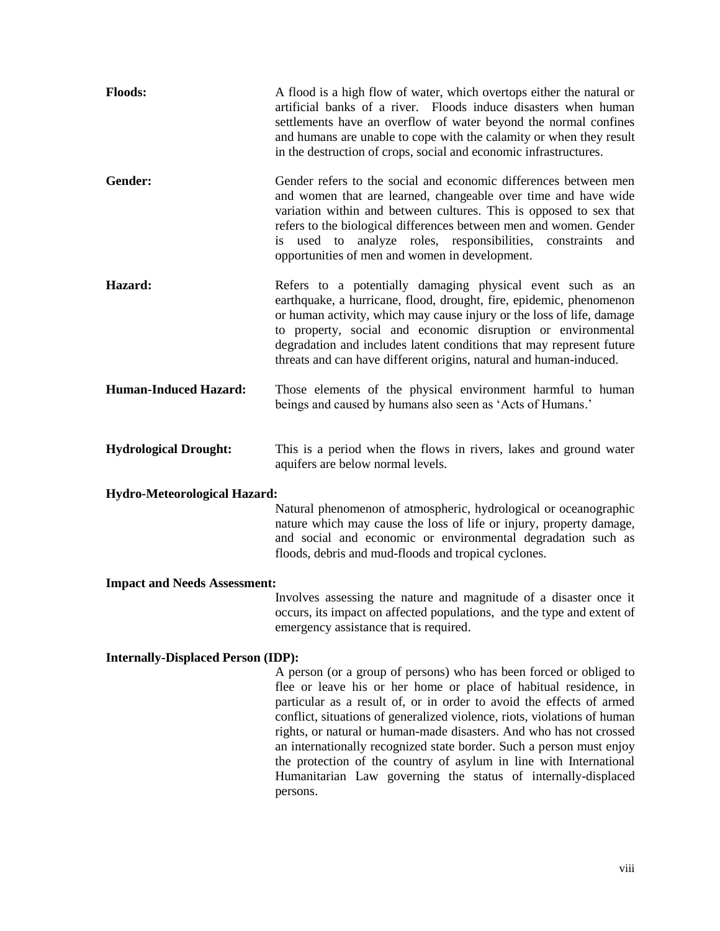| <b>Floods:</b>               | A flood is a high flow of water, which overtops either the natural or<br>artificial banks of a river. Floods induce disasters when human<br>settlements have an overflow of water beyond the normal confines<br>and humans are unable to cope with the calamity or when they result<br>in the destruction of crops, social and economic infrastructures.                                                                 |
|------------------------------|--------------------------------------------------------------------------------------------------------------------------------------------------------------------------------------------------------------------------------------------------------------------------------------------------------------------------------------------------------------------------------------------------------------------------|
| Gender:                      | Gender refers to the social and economic differences between men<br>and women that are learned, changeable over time and have wide<br>variation within and between cultures. This is opposed to sex that<br>refers to the biological differences between men and women. Gender<br>is used to analyze roles, responsibilities, constraints<br>and<br>opportunities of men and women in development.                       |
| Hazard:                      | Refers to a potentially damaging physical event such as an<br>earthquake, a hurricane, flood, drought, fire, epidemic, phenomenon<br>or human activity, which may cause injury or the loss of life, damage<br>to property, social and economic disruption or environmental<br>degradation and includes latent conditions that may represent future<br>threats and can have different origins, natural and human-induced. |
| <b>Human-Induced Hazard:</b> | Those elements of the physical environment harmful to human<br>beings and caused by humans also seen as 'Acts of Humans.'                                                                                                                                                                                                                                                                                                |
| <b>Hydrological Drought:</b> | This is a period when the flows in rivers, lakes and ground water<br>aquifers are below normal levels.                                                                                                                                                                                                                                                                                                                   |
| Hydro-Meteorological Hazard: |                                                                                                                                                                                                                                                                                                                                                                                                                          |

Natural phenomenon of atmospheric, hydrological or oceanographic nature which may cause the loss of life or injury, property damage, and social and economic or environmental degradation such as floods, debris and mud-floods and tropical cyclones.

#### **Impact and Needs Assessment:**

Involves assessing the nature and magnitude of a disaster once it occurs, its impact on affected populations, and the type and extent of emergency assistance that is required.

#### **Internally-Displaced Person (IDP):**

A person (or a group of persons) who has been forced or obliged to flee or leave his or her home or place of habitual residence, in particular as a result of, or in order to avoid the effects of armed conflict, situations of generalized violence, riots, violations of human rights, or natural or human-made disasters. And who has not crossed an internationally recognized state border. Such a person must enjoy the protection of the country of asylum in line with International Humanitarian Law governing the status of internally-displaced persons.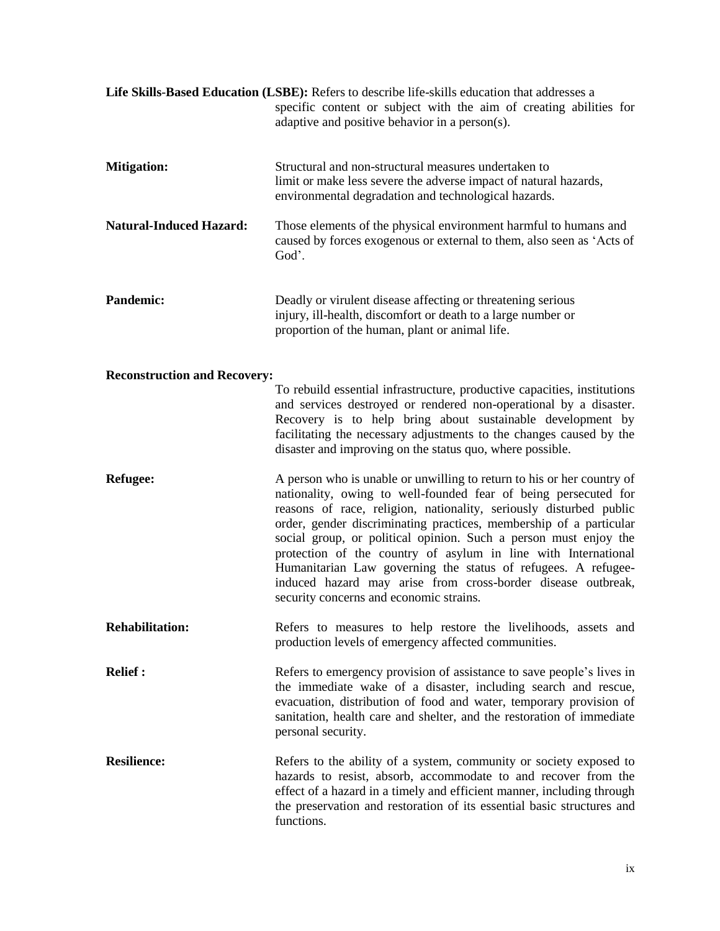|                                     | Life Skills-Based Education (LSBE): Refers to describe life-skills education that addresses a<br>specific content or subject with the aim of creating abilities for<br>adaptive and positive behavior in a person(s).                                                                                                                                                                                                                                                                                                                                                                                   |
|-------------------------------------|---------------------------------------------------------------------------------------------------------------------------------------------------------------------------------------------------------------------------------------------------------------------------------------------------------------------------------------------------------------------------------------------------------------------------------------------------------------------------------------------------------------------------------------------------------------------------------------------------------|
| <b>Mitigation:</b>                  | Structural and non-structural measures undertaken to<br>limit or make less severe the adverse impact of natural hazards,<br>environmental degradation and technological hazards.                                                                                                                                                                                                                                                                                                                                                                                                                        |
| <b>Natural-Induced Hazard:</b>      | Those elements of the physical environment harmful to humans and<br>caused by forces exogenous or external to them, also seen as 'Acts of<br>God'.                                                                                                                                                                                                                                                                                                                                                                                                                                                      |
| <b>Pandemic:</b>                    | Deadly or virulent disease affecting or threatening serious<br>injury, ill-health, discomfort or death to a large number or<br>proportion of the human, plant or animal life.                                                                                                                                                                                                                                                                                                                                                                                                                           |
| <b>Reconstruction and Recovery:</b> |                                                                                                                                                                                                                                                                                                                                                                                                                                                                                                                                                                                                         |
|                                     | To rebuild essential infrastructure, productive capacities, institutions<br>and services destroyed or rendered non-operational by a disaster.<br>Recovery is to help bring about sustainable development by<br>facilitating the necessary adjustments to the changes caused by the<br>disaster and improving on the status quo, where possible.                                                                                                                                                                                                                                                         |
| <b>Refugee:</b>                     | A person who is unable or unwilling to return to his or her country of<br>nationality, owing to well-founded fear of being persecuted for<br>reasons of race, religion, nationality, seriously disturbed public<br>order, gender discriminating practices, membership of a particular<br>social group, or political opinion. Such a person must enjoy the<br>protection of the country of asylum in line with International<br>Humanitarian Law governing the status of refugees. A refugee-<br>induced hazard may arise from cross-border disease outbreak,<br>security concerns and economic strains. |
| <b>Rehabilitation:</b>              | Refers to measures to help restore the livelihoods, assets and<br>production levels of emergency affected communities.                                                                                                                                                                                                                                                                                                                                                                                                                                                                                  |
| <b>Relief:</b>                      | Refers to emergency provision of assistance to save people's lives in<br>the immediate wake of a disaster, including search and rescue,<br>evacuation, distribution of food and water, temporary provision of<br>sanitation, health care and shelter, and the restoration of immediate<br>personal security.                                                                                                                                                                                                                                                                                            |
| <b>Resilience:</b>                  | Refers to the ability of a system, community or society exposed to<br>hazards to resist, absorb, accommodate to and recover from the<br>effect of a hazard in a timely and efficient manner, including through<br>the preservation and restoration of its essential basic structures and<br>functions.                                                                                                                                                                                                                                                                                                  |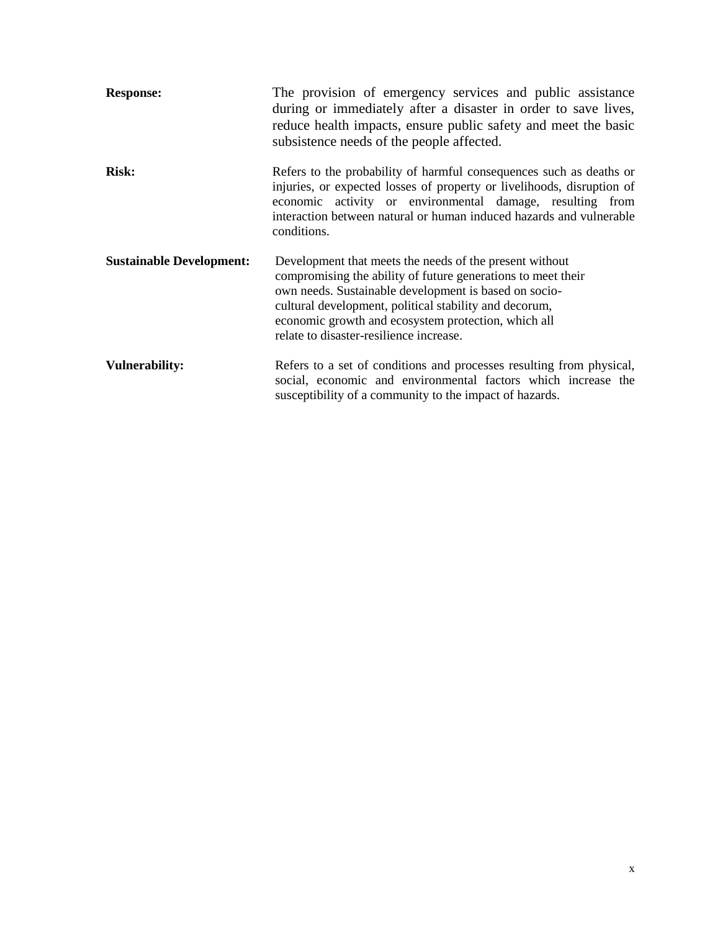| <b>Response:</b>                | The provision of emergency services and public assistance<br>during or immediately after a disaster in order to save lives,<br>reduce health impacts, ensure public safety and meet the basic<br>subsistence needs of the people affected.                                                                                                   |
|---------------------------------|----------------------------------------------------------------------------------------------------------------------------------------------------------------------------------------------------------------------------------------------------------------------------------------------------------------------------------------------|
| <b>Risk:</b>                    | Refers to the probability of harmful consequences such as deaths or<br>injuries, or expected losses of property or livelihoods, disruption of<br>economic activity or environmental damage, resulting from<br>interaction between natural or human induced hazards and vulnerable<br>conditions.                                             |
| <b>Sustainable Development:</b> | Development that meets the needs of the present without<br>compromising the ability of future generations to meet their<br>own needs. Sustainable development is based on socio-<br>cultural development, political stability and decorum,<br>economic growth and ecosystem protection, which all<br>relate to disaster-resilience increase. |
| <b>Vulnerability:</b>           | Refers to a set of conditions and processes resulting from physical,<br>social, economic and environmental factors which increase the<br>susceptibility of a community to the impact of hazards.                                                                                                                                             |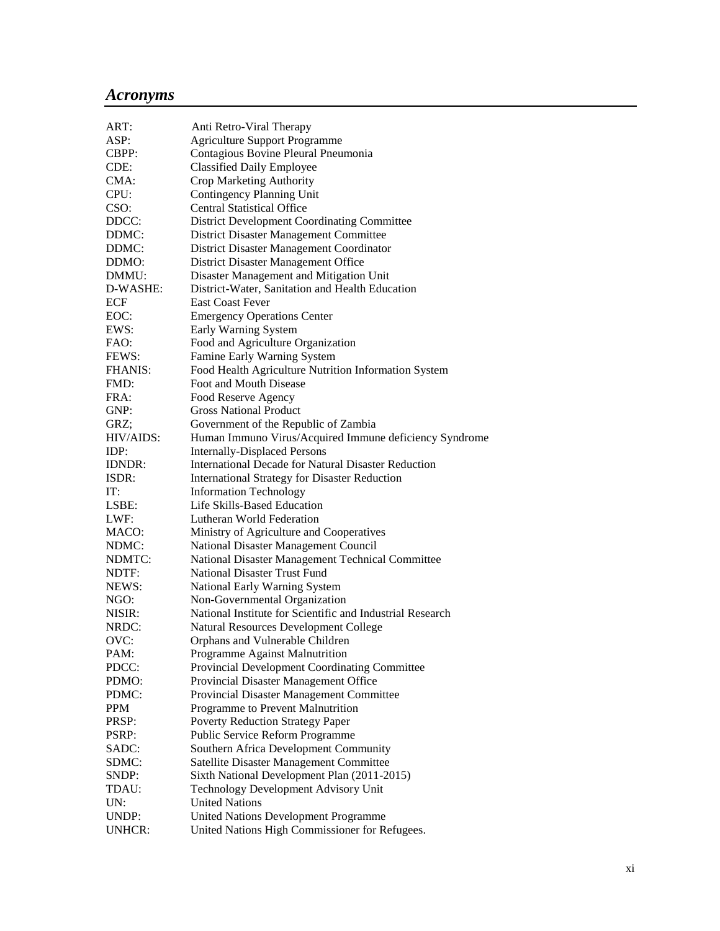## *Acronyms*

| ART:           | Anti Retro-Viral Therapy                                   |
|----------------|------------------------------------------------------------|
| ASP:           | <b>Agriculture Support Programme</b>                       |
| CBPP:          | Contagious Bovine Pleural Pneumonia                        |
| CDE:           | <b>Classified Daily Employee</b>                           |
| CMA:           | Crop Marketing Authority                                   |
| CPU:           | Contingency Planning Unit                                  |
| CSO:           | <b>Central Statistical Office</b>                          |
| DDCC:          | <b>District Development Coordinating Committee</b>         |
| DDMC:          | District Disaster Management Committee                     |
| DDMC:          | District Disaster Management Coordinator                   |
| DDMO:          | District Disaster Management Office                        |
| DMMU:          | Disaster Management and Mitigation Unit                    |
| D-WASHE:       | District-Water, Sanitation and Health Education            |
| <b>ECF</b>     | <b>East Coast Fever</b>                                    |
| EOC:           | <b>Emergency Operations Center</b>                         |
| EWS:           | Early Warning System                                       |
| FAO:           | Food and Agriculture Organization                          |
| FEWS:          | Famine Early Warning System                                |
| <b>FHANIS:</b> | Food Health Agriculture Nutrition Information System       |
| FMD:           | Foot and Mouth Disease                                     |
| FRA:           | Food Reserve Agency                                        |
| GNP:           | <b>Gross National Product</b>                              |
| GRZ;           | Government of the Republic of Zambia                       |
| HIV/AIDS:      | Human Immuno Virus/Acquired Immune deficiency Syndrome     |
| IDP:           | <b>Internally-Displaced Persons</b>                        |
| <b>IDNDR:</b>  | <b>International Decade for Natural Disaster Reduction</b> |
| ISDR:          | <b>International Strategy for Disaster Reduction</b>       |
| IT:            | <b>Information Technology</b>                              |
| LSBE:          | Life Skills-Based Education                                |
| LWF:           | Lutheran World Federation                                  |
| MACO:          | Ministry of Agriculture and Cooperatives                   |
| NDMC:          | National Disaster Management Council                       |
| NDMTC:         | National Disaster Management Technical Committee           |
| NDTF:          | <b>National Disaster Trust Fund</b>                        |
| NEWS:          | National Early Warning System                              |
| NGO:           | Non-Governmental Organization                              |
| NISIR:         | National Institute for Scientific and Industrial Research  |
| NRDC:          | <b>Natural Resources Development College</b>               |
| OVC:           | Orphans and Vulnerable Children                            |
| PAM:           | Programme Against Malnutrition                             |
| PDCC:          | Provincial Development Coordinating Committee              |
| PDMO:          | Provincial Disaster Management Office                      |
| PDMC:          | Provincial Disaster Management Committee                   |
| <b>PPM</b>     | Programme to Prevent Malnutrition                          |
| PRSP:          | <b>Poverty Reduction Strategy Paper</b>                    |
| PSRP:          | Public Service Reform Programme                            |
| SADC:          | Southern Africa Development Community                      |
| SDMC:          | Satellite Disaster Management Committee                    |
| SNDP:          | Sixth National Development Plan (2011-2015)                |
| TDAU:          | Technology Development Advisory Unit                       |
| UN:            | <b>United Nations</b>                                      |
| UNDP:          | United Nations Development Programme                       |
| UNHCR:         | United Nations High Commissioner for Refugees.             |
|                |                                                            |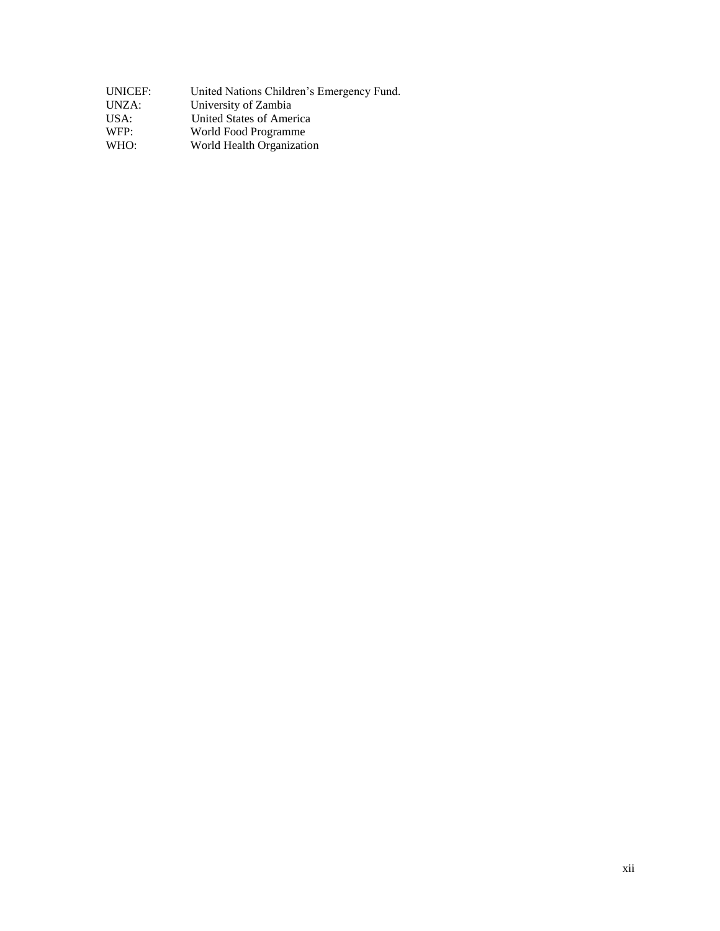| UNICEF: | United Nations Children's Emergency Fund. |
|---------|-------------------------------------------|
| UNZA:   | University of Zambia                      |
| USA:    | United States of America                  |
| WFP:    | World Food Programme                      |
| WHO:    | World Health Organization                 |
|         |                                           |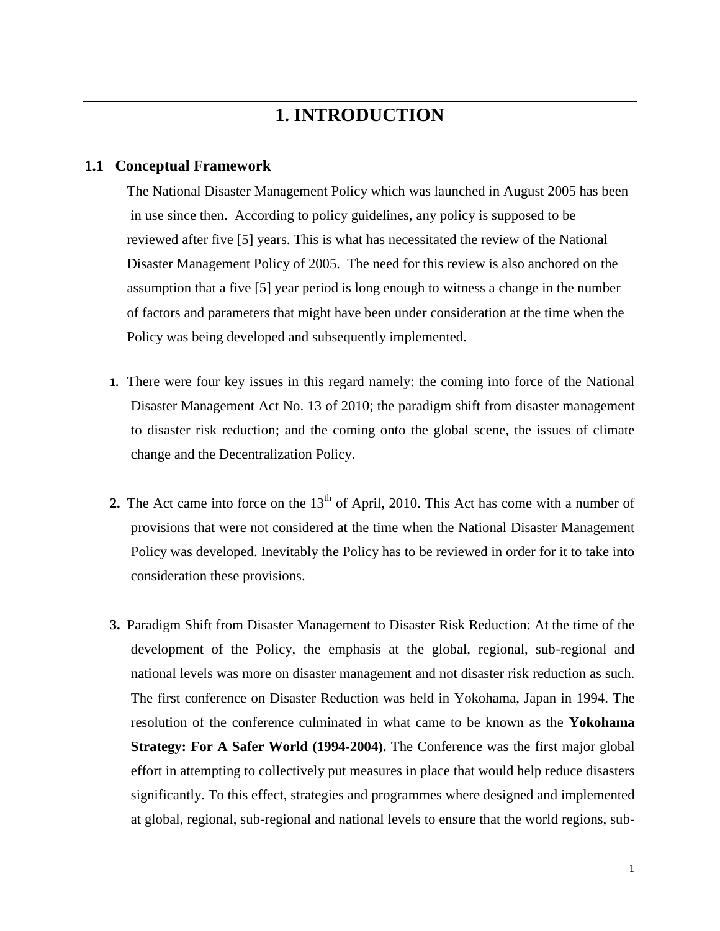## **1.1 Conceptual Framework**

The National Disaster Management Policy which was launched in August 2005 has been in use since then. According to policy guidelines, any policy is supposed to be reviewed after five [5] years. This is what has necessitated the review of the National Disaster Management Policy of 2005. The need for this review is also anchored on the assumption that a five [5] year period is long enough to witness a change in the number of factors and parameters that might have been under consideration at the time when the Policy was being developed and subsequently implemented.

- **1.** There were four key issues in this regard namely: the coming into force of the National Disaster Management Act No. 13 of 2010; the paradigm shift from disaster management to disaster risk reduction; and the coming onto the global scene, the issues of climate change and the Decentralization Policy.
- **2.** The Act came into force on the  $13<sup>th</sup>$  of April, 2010. This Act has come with a number of provisions that were not considered at the time when the National Disaster Management Policy was developed. Inevitably the Policy has to be reviewed in order for it to take into consideration these provisions.
- **3.** Paradigm Shift from Disaster Management to Disaster Risk Reduction: At the time of the development of the Policy, the emphasis at the global, regional, sub-regional and national levels was more on disaster management and not disaster risk reduction as such. The first conference on Disaster Reduction was held in Yokohama, Japan in 1994. The resolution of the conference culminated in what came to be known as the **Yokohama Strategy: For A Safer World (1994-2004).** The Conference was the first major global effort in attempting to collectively put measures in place that would help reduce disasters significantly. To this effect, strategies and programmes where designed and implemented at global, regional, sub-regional and national levels to ensure that the world regions, sub-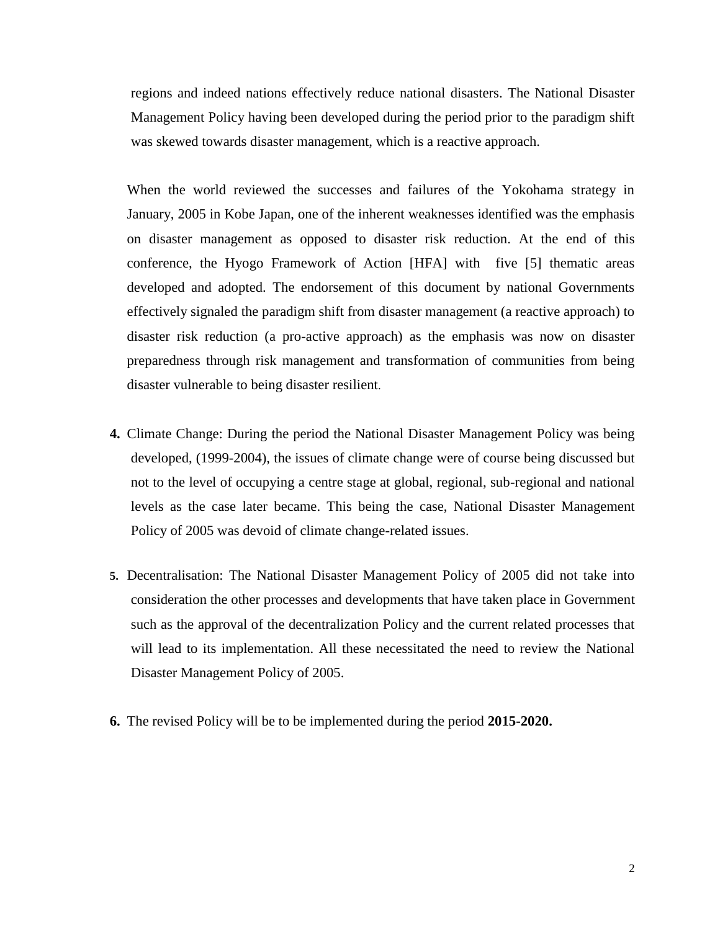regions and indeed nations effectively reduce national disasters. The National Disaster Management Policy having been developed during the period prior to the paradigm shift was skewed towards disaster management, which is a reactive approach.

When the world reviewed the successes and failures of the Yokohama strategy in January, 2005 in Kobe Japan, one of the inherent weaknesses identified was the emphasis on disaster management as opposed to disaster risk reduction. At the end of this conference, the Hyogo Framework of Action [HFA] with five [5] thematic areas developed and adopted. The endorsement of this document by national Governments effectively signaled the paradigm shift from disaster management (a reactive approach) to disaster risk reduction (a pro-active approach) as the emphasis was now on disaster preparedness through risk management and transformation of communities from being disaster vulnerable to being disaster resilient.

- **4.** Climate Change: During the period the National Disaster Management Policy was being developed, (1999-2004), the issues of climate change were of course being discussed but not to the level of occupying a centre stage at global, regional, sub-regional and national levels as the case later became. This being the case, National Disaster Management Policy of 2005 was devoid of climate change-related issues.
- **5.** Decentralisation: The National Disaster Management Policy of 2005 did not take into consideration the other processes and developments that have taken place in Government such as the approval of the decentralization Policy and the current related processes that will lead to its implementation. All these necessitated the need to review the National Disaster Management Policy of 2005.
- **6.** The revised Policy will be to be implemented during the period **2015-2020.**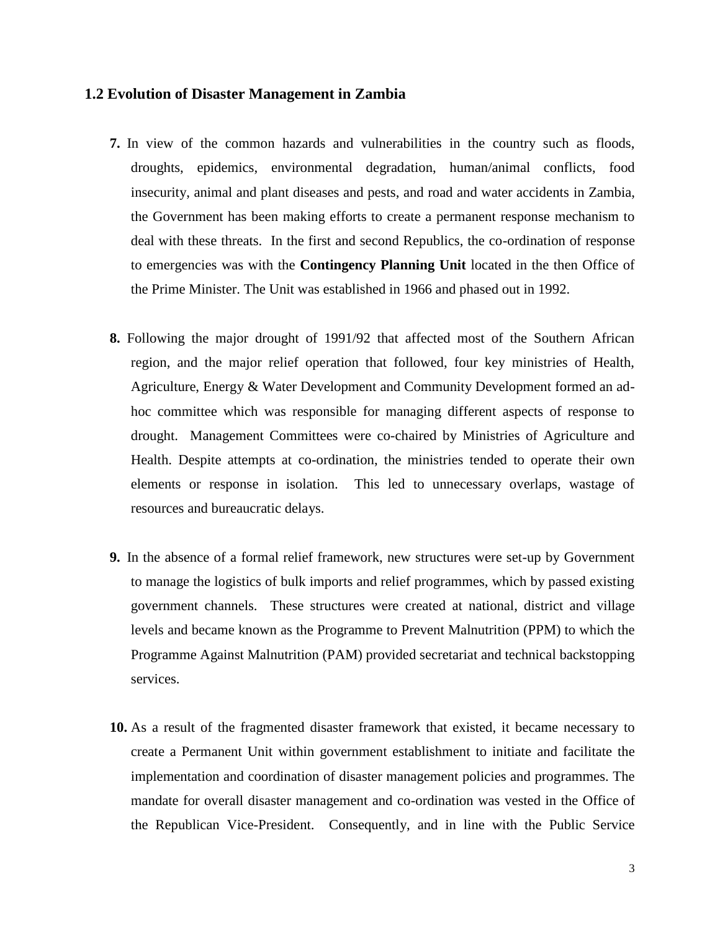### **1.2 Evolution of Disaster Management in Zambia**

- **7.** In view of the common hazards and vulnerabilities in the country such as floods, droughts, epidemics, environmental degradation, human/animal conflicts, food insecurity, animal and plant diseases and pests, and road and water accidents in Zambia, the Government has been making efforts to create a permanent response mechanism to deal with these threats. In the first and second Republics, the co-ordination of response to emergencies was with the **Contingency Planning Unit** located in the then Office of the Prime Minister. The Unit was established in 1966 and phased out in 1992.
- **8.** Following the major drought of 1991/92 that affected most of the Southern African region, and the major relief operation that followed, four key ministries of Health, Agriculture, Energy & Water Development and Community Development formed an adhoc committee which was responsible for managing different aspects of response to drought. Management Committees were co-chaired by Ministries of Agriculture and Health. Despite attempts at co-ordination, the ministries tended to operate their own elements or response in isolation. This led to unnecessary overlaps, wastage of resources and bureaucratic delays.
- **9.** In the absence of a formal relief framework, new structures were set-up by Government to manage the logistics of bulk imports and relief programmes, which by passed existing government channels. These structures were created at national, district and village levels and became known as the Programme to Prevent Malnutrition (PPM) to which the Programme Against Malnutrition (PAM) provided secretariat and technical backstopping services.
- **10.** As a result of the fragmented disaster framework that existed, it became necessary to create a Permanent Unit within government establishment to initiate and facilitate the implementation and coordination of disaster management policies and programmes. The mandate for overall disaster management and co-ordination was vested in the Office of the Republican Vice-President. Consequently, and in line with the Public Service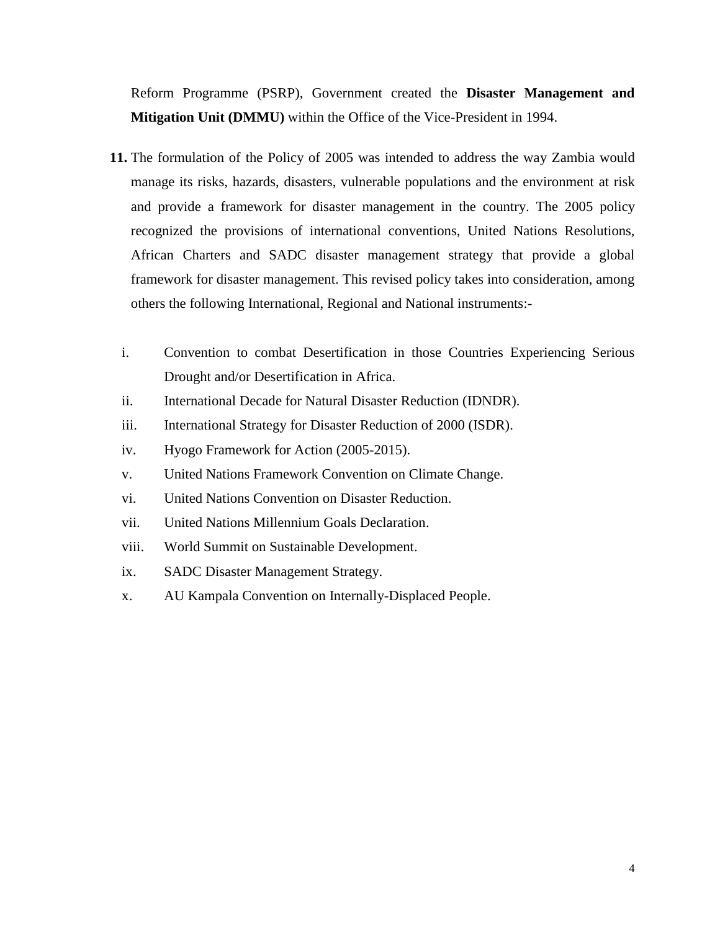Reform Programme (PSRP), Government created the **Disaster Management and Mitigation Unit (DMMU)** within the Office of the Vice-President in 1994.

- **11.** The formulation of the Policy of 2005 was intended to address the way Zambia would manage its risks, hazards, disasters, vulnerable populations and the environment at risk and provide a framework for disaster management in the country. The 2005 policy recognized the provisions of international conventions, United Nations Resolutions, African Charters and SADC disaster management strategy that provide a global framework for disaster management. This revised policy takes into consideration, among others the following International, Regional and National instruments:
	- i. Convention to combat Desertification in those Countries Experiencing Serious Drought and/or Desertification in Africa.
	- ii. International Decade for Natural Disaster Reduction (IDNDR).
	- iii. International Strategy for Disaster Reduction of 2000 (ISDR).
	- iv. Hyogo Framework for Action (2005-2015).
	- v. United Nations Framework Convention on Climate Change.
	- vi. United Nations Convention on Disaster Reduction.
	- vii. United Nations Millennium Goals Declaration.
	- viii. World Summit on Sustainable Development.
	- ix. SADC Disaster Management Strategy.
	- x. AU Kampala Convention on Internally-Displaced People.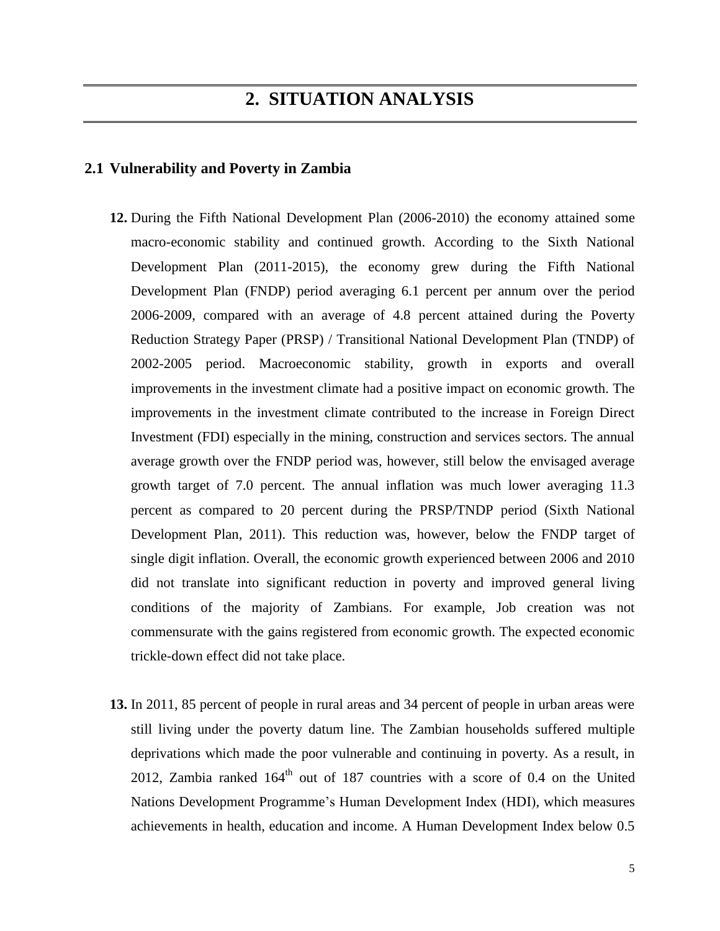# **2. SITUATION ANALYSIS**

### **2.1 Vulnerability and Poverty in Zambia**

- **12.** During the Fifth National Development Plan (2006-2010) the economy attained some macro-economic stability and continued growth. According to the Sixth National Development Plan (2011-2015), the economy grew during the Fifth National Development Plan (FNDP) period averaging 6.1 percent per annum over the period 2006-2009, compared with an average of 4.8 percent attained during the Poverty Reduction Strategy Paper (PRSP) / Transitional National Development Plan (TNDP) of 2002-2005 period. Macroeconomic stability, growth in exports and overall improvements in the investment climate had a positive impact on economic growth. The improvements in the investment climate contributed to the increase in Foreign Direct Investment (FDI) especially in the mining, construction and services sectors. The annual average growth over the FNDP period was, however, still below the envisaged average growth target of 7.0 percent. The annual inflation was much lower averaging 11.3 percent as compared to 20 percent during the PRSP/TNDP period (Sixth National Development Plan, 2011). This reduction was, however, below the FNDP target of single digit inflation. Overall, the economic growth experienced between 2006 and 2010 did not translate into significant reduction in poverty and improved general living conditions of the majority of Zambians. For example, Job creation was not commensurate with the gains registered from economic growth. The expected economic trickle-down effect did not take place.
- **13.** In 2011, 85 percent of people in rural areas and 34 percent of people in urban areas were still living under the poverty datum line. The Zambian households suffered multiple deprivations which made the poor vulnerable and continuing in poverty. As a result, in 2012, Zambia ranked  $164<sup>th</sup>$  out of 187 countries with a score of 0.4 on the United Nations Development Programme's Human Development Index (HDI), which measures achievements in health, education and income. A Human Development Index below 0.5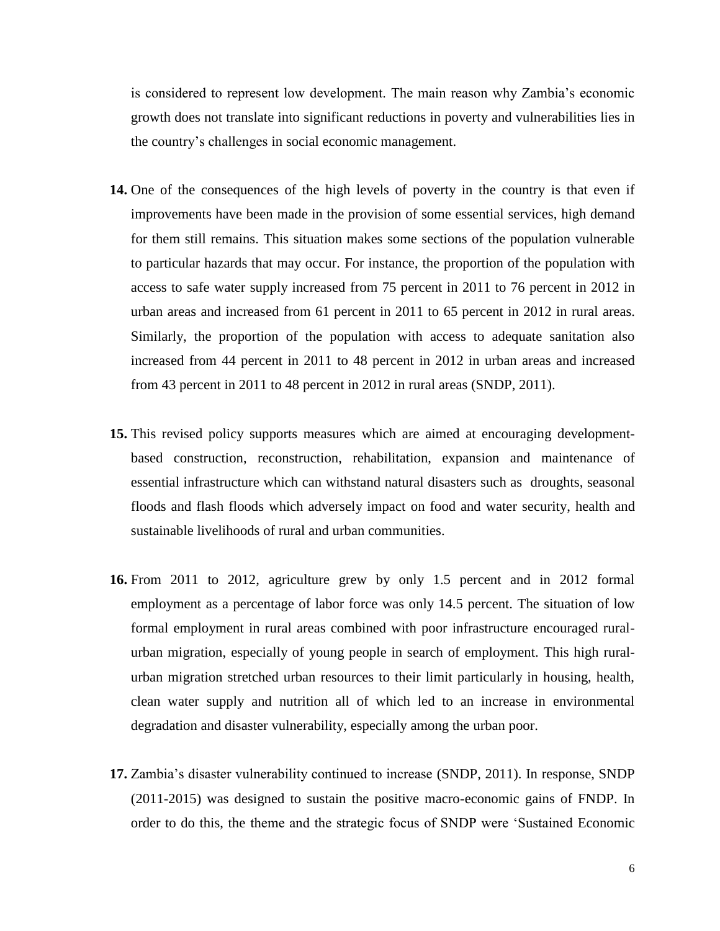is considered to represent low development. The main reason why Zambia's economic growth does not translate into significant reductions in poverty and vulnerabilities lies in the country's challenges in social economic management.

- **14.** One of the consequences of the high levels of poverty in the country is that even if improvements have been made in the provision of some essential services, high demand for them still remains. This situation makes some sections of the population vulnerable to particular hazards that may occur. For instance, the proportion of the population with access to safe water supply increased from 75 percent in 2011 to 76 percent in 2012 in urban areas and increased from 61 percent in 2011 to 65 percent in 2012 in rural areas. Similarly, the proportion of the population with access to adequate sanitation also increased from 44 percent in 2011 to 48 percent in 2012 in urban areas and increased from 43 percent in 2011 to 48 percent in 2012 in rural areas (SNDP, 2011).
- **15.** This revised policy supports measures which are aimed at encouraging developmentbased construction, reconstruction, rehabilitation, expansion and maintenance of essential infrastructure which can withstand natural disasters such as droughts, seasonal floods and flash floods which adversely impact on food and water security, health and sustainable livelihoods of rural and urban communities.
- **16.** From 2011 to 2012, agriculture grew by only 1.5 percent and in 2012 formal employment as a percentage of labor force was only 14.5 percent. The situation of low formal employment in rural areas combined with poor infrastructure encouraged ruralurban migration, especially of young people in search of employment. This high ruralurban migration stretched urban resources to their limit particularly in housing, health, clean water supply and nutrition all of which led to an increase in environmental degradation and disaster vulnerability, especially among the urban poor.
- **17.** Zambia's disaster vulnerability continued to increase (SNDP, 2011). In response, SNDP (2011-2015) was designed to sustain the positive macro-economic gains of FNDP. In order to do this, the theme and the strategic focus of SNDP were 'Sustained Economic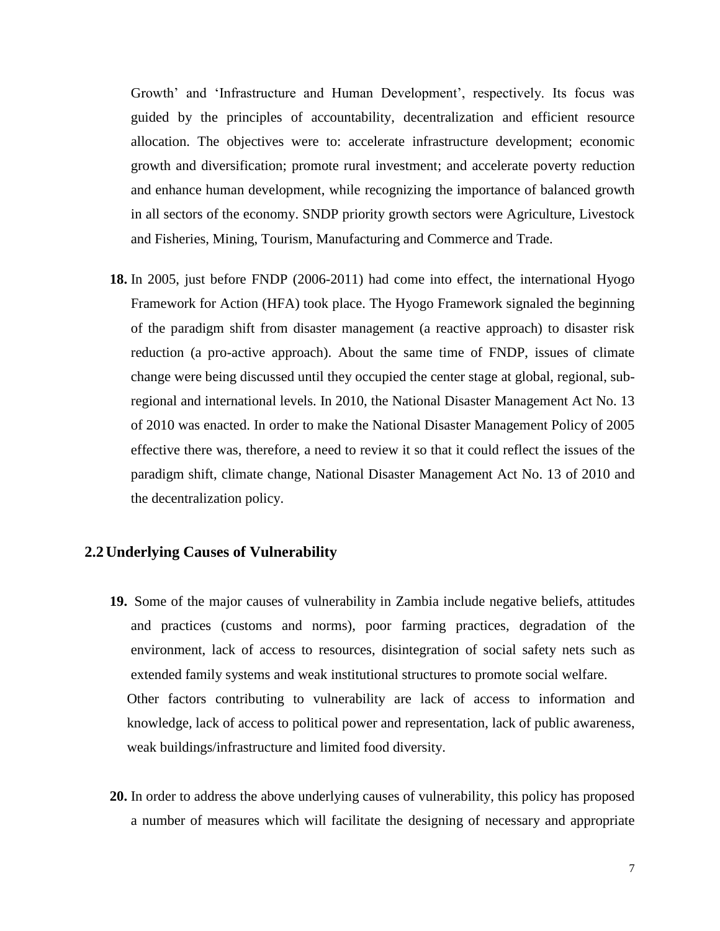Growth' and 'Infrastructure and Human Development', respectively. Its focus was guided by the principles of accountability, decentralization and efficient resource allocation. The objectives were to: accelerate infrastructure development; economic growth and diversification; promote rural investment; and accelerate poverty reduction and enhance human development, while recognizing the importance of balanced growth in all sectors of the economy. SNDP priority growth sectors were Agriculture, Livestock and Fisheries, Mining, Tourism, Manufacturing and Commerce and Trade.

**18.** In 2005, just before FNDP (2006-2011) had come into effect, the international Hyogo Framework for Action (HFA) took place. The Hyogo Framework signaled the beginning of the paradigm shift from disaster management (a reactive approach) to disaster risk reduction (a pro-active approach). About the same time of FNDP, issues of climate change were being discussed until they occupied the center stage at global, regional, subregional and international levels. In 2010, the National Disaster Management Act No. 13 of 2010 was enacted. In order to make the National Disaster Management Policy of 2005 effective there was, therefore, a need to review it so that it could reflect the issues of the paradigm shift, climate change, National Disaster Management Act No. 13 of 2010 and the decentralization policy.

### **2.2Underlying Causes of Vulnerability**

- **19.** Some of the major causes of vulnerability in Zambia include negative beliefs, attitudes and practices (customs and norms), poor farming practices, degradation of the environment, lack of access to resources, disintegration of social safety nets such as extended family systems and weak institutional structures to promote social welfare. Other factors contributing to vulnerability are lack of access to information and knowledge, lack of access to political power and representation, lack of public awareness, weak buildings/infrastructure and limited food diversity.
- **20.** In order to address the above underlying causes of vulnerability, this policy has proposed a number of measures which will facilitate the designing of necessary and appropriate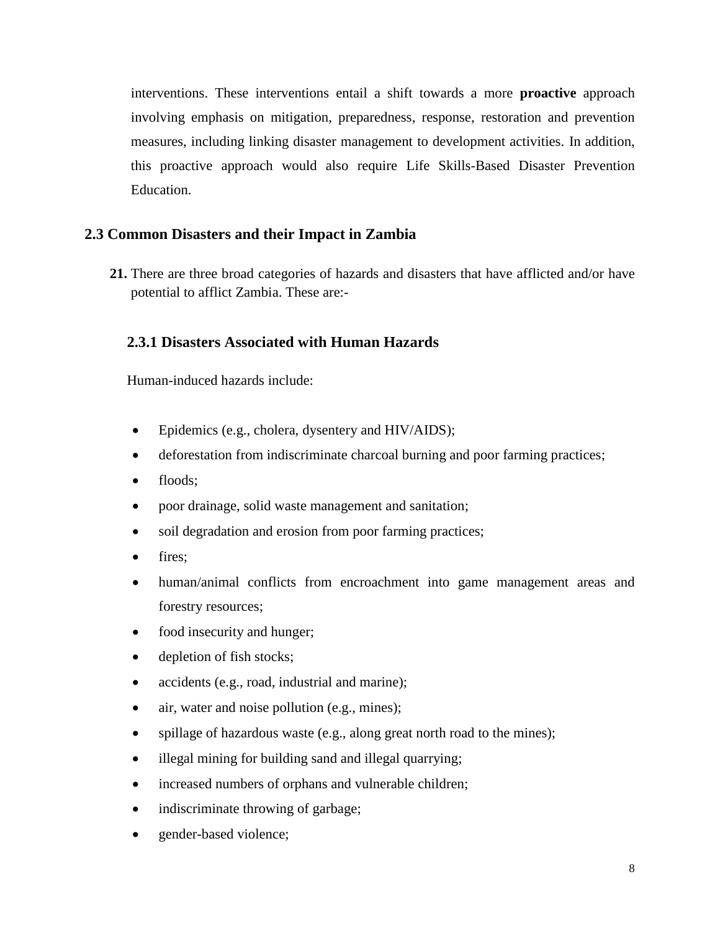interventions. These interventions entail a shift towards a more **proactive** approach involving emphasis on mitigation, preparedness, response, restoration and prevention measures, including linking disaster management to development activities. In addition, this proactive approach would also require Life Skills-Based Disaster Prevention Education.

## **2.3 Common Disasters and their Impact in Zambia**

**21.** There are three broad categories of hazards and disasters that have afflicted and/or have potential to afflict Zambia. These are:-

## **2.3.1 Disasters Associated with Human Hazards**

Human-induced hazards include:

- Epidemics (e.g., cholera, dysentery and HIV/AIDS);
- deforestation from indiscriminate charcoal burning and poor farming practices;
- floods:
- poor drainage, solid waste management and sanitation;
- soil degradation and erosion from poor farming practices;
- fires;
- human/animal conflicts from encroachment into game management areas and forestry resources;
- food insecurity and hunger;
- depletion of fish stocks;
- accidents (e.g., road, industrial and marine);
- air, water and noise pollution (e.g., mines);
- spillage of hazardous waste (e.g., along great north road to the mines);
- illegal mining for building sand and illegal quarrying;
- increased numbers of orphans and vulnerable children;
- indiscriminate throwing of garbage;
- gender-based violence;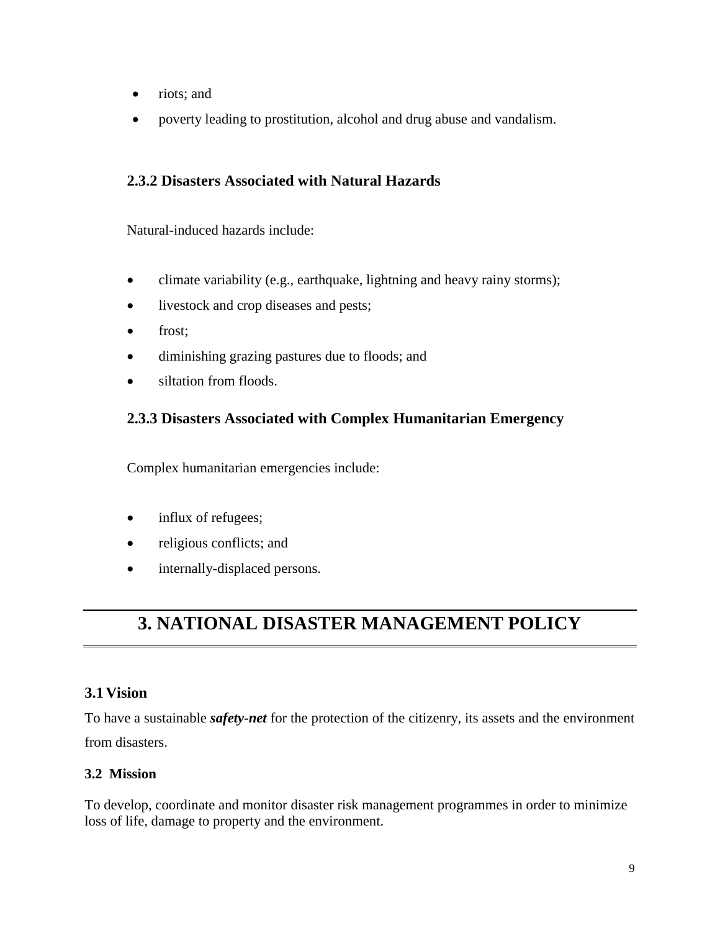- riots; and
- poverty leading to prostitution, alcohol and drug abuse and vandalism.

## **2.3.2 Disasters Associated with Natural Hazards**

Natural-induced hazards include:

- climate variability (e.g., earthquake, lightning and heavy rainy storms);
- livestock and crop diseases and pests;
- frost;
- diminishing grazing pastures due to floods; and
- siltation from floods.

## **2.3.3 Disasters Associated with Complex Humanitarian Emergency**

Complex humanitarian emergencies include:

- influx of refugees;
- religious conflicts; and
- internally-displaced persons.

# **3. NATIONAL DISASTER MANAGEMENT POLICY**

## **3.1Vision**

To have a sustainable *safety-net* for the protection of the citizenry, its assets and the environment from disasters.

## **3.2 Mission**

To develop, coordinate and monitor disaster risk management programmes in order to minimize loss of life, damage to property and the environment.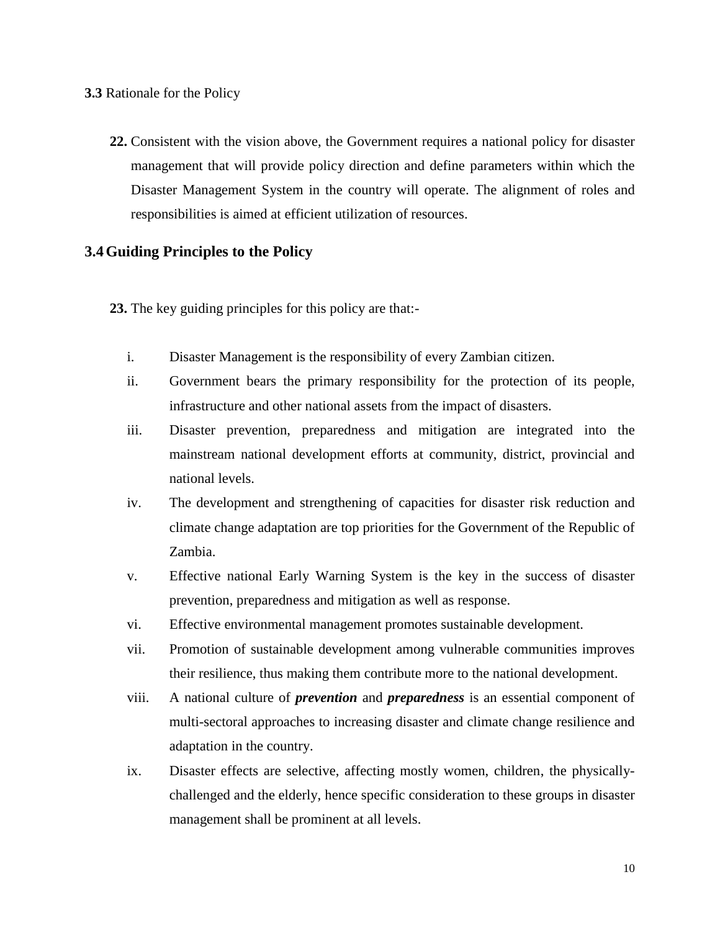### **3.3** Rationale for the Policy

**22.** Consistent with the vision above, the Government requires a national policy for disaster management that will provide policy direction and define parameters within which the Disaster Management System in the country will operate. The alignment of roles and responsibilities is aimed at efficient utilization of resources.

### **3.4Guiding Principles to the Policy**

**23.** The key guiding principles for this policy are that:-

- i. Disaster Management is the responsibility of every Zambian citizen.
- ii. Government bears the primary responsibility for the protection of its people, infrastructure and other national assets from the impact of disasters.
- iii. Disaster prevention, preparedness and mitigation are integrated into the mainstream national development efforts at community, district, provincial and national levels.
- iv. The development and strengthening of capacities for disaster risk reduction and climate change adaptation are top priorities for the Government of the Republic of Zambia.
- v. Effective national Early Warning System is the key in the success of disaster prevention, preparedness and mitigation as well as response.
- vi. Effective environmental management promotes sustainable development.
- vii. Promotion of sustainable development among vulnerable communities improves their resilience, thus making them contribute more to the national development.
- viii. A national culture of *prevention* and *preparedness* is an essential component of multi-sectoral approaches to increasing disaster and climate change resilience and adaptation in the country.
- ix. Disaster effects are selective, affecting mostly women, children, the physicallychallenged and the elderly, hence specific consideration to these groups in disaster management shall be prominent at all levels.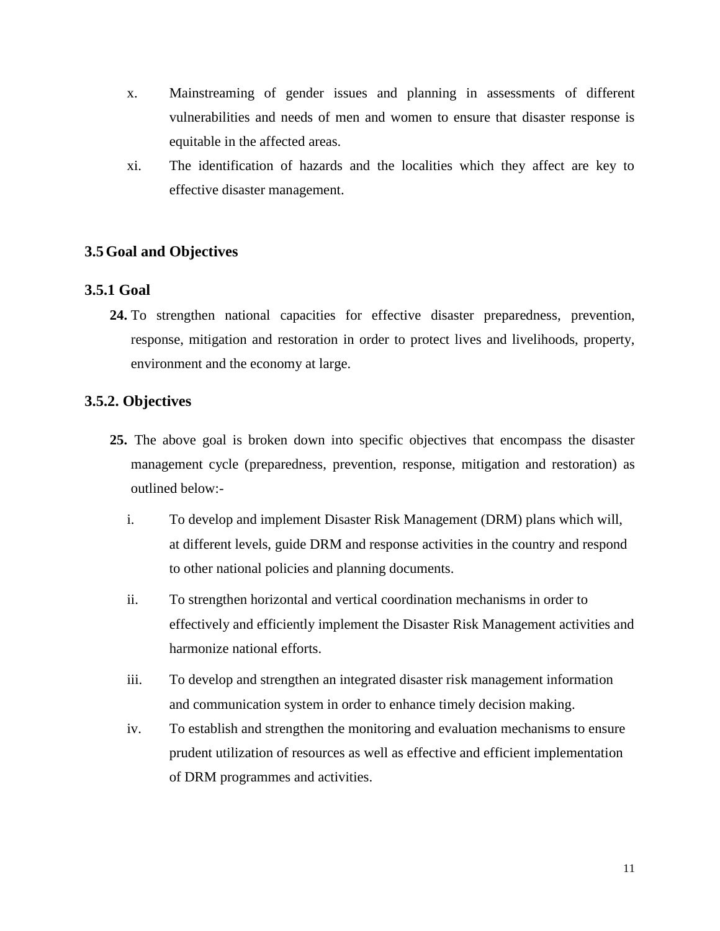- x. Mainstreaming of gender issues and planning in assessments of different vulnerabilities and needs of men and women to ensure that disaster response is equitable in the affected areas.
- xi. The identification of hazards and the localities which they affect are key to effective disaster management.

## **3.5Goal and Objectives**

## **3.5.1 Goal**

**24.** To strengthen national capacities for effective disaster preparedness, prevention, response, mitigation and restoration in order to protect lives and livelihoods, property, environment and the economy at large.

## **3.5.2. Objectives**

- **25.** The above goal is broken down into specific objectives that encompass the disaster management cycle (preparedness, prevention, response, mitigation and restoration) as outlined below:
	- i. To develop and implement Disaster Risk Management (DRM) plans which will, at different levels, guide DRM and response activities in the country and respond to other national policies and planning documents.
	- ii. To strengthen horizontal and vertical coordination mechanisms in order to effectively and efficiently implement the Disaster Risk Management activities and harmonize national efforts.
	- iii. To develop and strengthen an integrated disaster risk management information and communication system in order to enhance timely decision making.
	- iv. To establish and strengthen the monitoring and evaluation mechanisms to ensure prudent utilization of resources as well as effective and efficient implementation of DRM programmes and activities.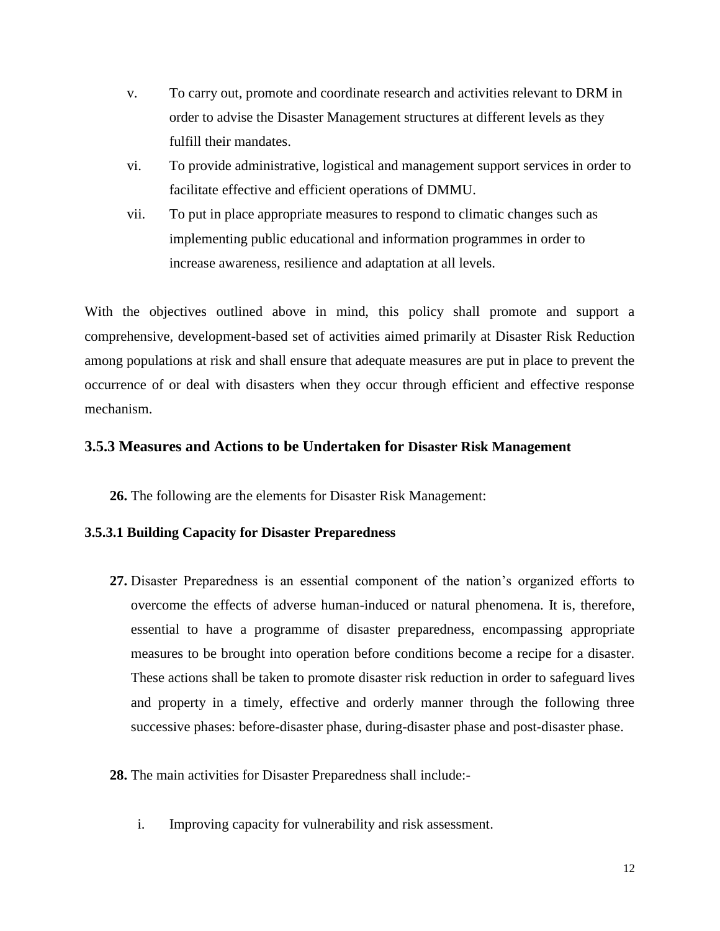- v. To carry out, promote and coordinate research and activities relevant to DRM in order to advise the Disaster Management structures at different levels as they fulfill their mandates.
- vi. To provide administrative, logistical and management support services in order to facilitate effective and efficient operations of DMMU.
- vii. To put in place appropriate measures to respond to climatic changes such as implementing public educational and information programmes in order to increase awareness, resilience and adaptation at all levels.

With the objectives outlined above in mind, this policy shall promote and support a comprehensive, development-based set of activities aimed primarily at Disaster Risk Reduction among populations at risk and shall ensure that adequate measures are put in place to prevent the occurrence of or deal with disasters when they occur through efficient and effective response mechanism.

### **3.5.3 Measures and Actions to be Undertaken for Disaster Risk Management**

**26.** The following are the elements for Disaster Risk Management:

### **3.5.3.1 Building Capacity for Disaster Preparedness**

- **27.** Disaster Preparedness is an essential component of the nation's organized efforts to overcome the effects of adverse human-induced or natural phenomena. It is, therefore, essential to have a programme of disaster preparedness, encompassing appropriate measures to be brought into operation before conditions become a recipe for a disaster. These actions shall be taken to promote disaster risk reduction in order to safeguard lives and property in a timely, effective and orderly manner through the following three successive phases: before-disaster phase, during-disaster phase and post-disaster phase.
- **28.** The main activities for Disaster Preparedness shall include:
	- i. Improving capacity for vulnerability and risk assessment.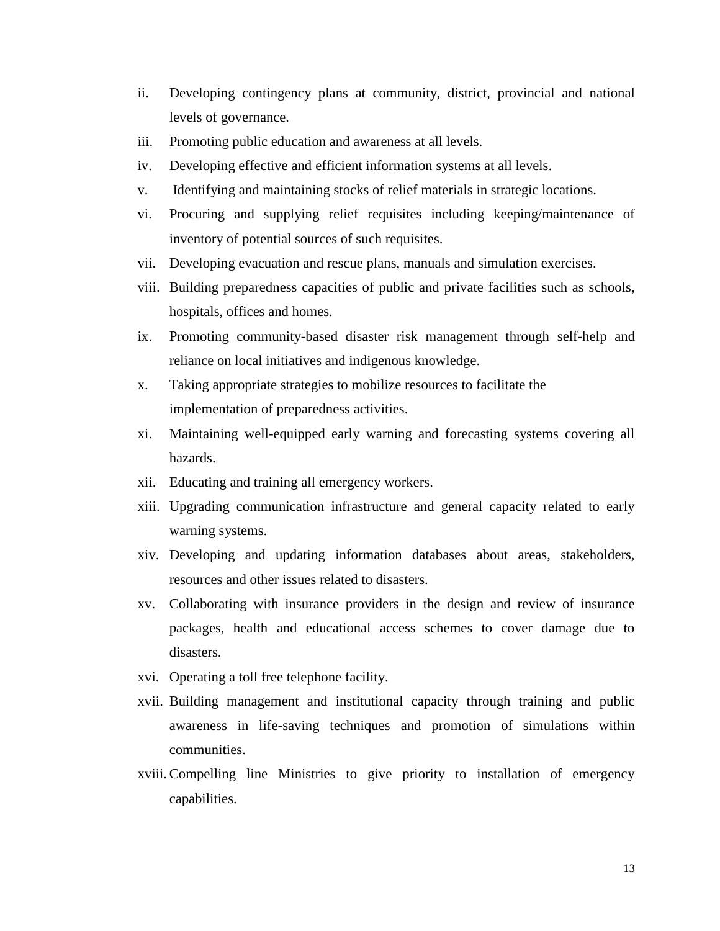- ii. Developing contingency plans at community, district, provincial and national levels of governance.
- iii. Promoting public education and awareness at all levels.
- iv. Developing effective and efficient information systems at all levels.
- v. Identifying and maintaining stocks of relief materials in strategic locations.
- vi. Procuring and supplying relief requisites including keeping/maintenance of inventory of potential sources of such requisites.
- vii. Developing evacuation and rescue plans, manuals and simulation exercises.
- viii. Building preparedness capacities of public and private facilities such as schools, hospitals, offices and homes.
- ix. Promoting community-based disaster risk management through self-help and reliance on local initiatives and indigenous knowledge.
- x. Taking appropriate strategies to mobilize resources to facilitate the implementation of preparedness activities.
- xi. Maintaining well-equipped early warning and forecasting systems covering all hazards.
- xii. Educating and training all emergency workers.
- xiii. Upgrading communication infrastructure and general capacity related to early warning systems.
- xiv. Developing and updating information databases about areas, stakeholders, resources and other issues related to disasters.
- xv. Collaborating with insurance providers in the design and review of insurance packages, health and educational access schemes to cover damage due to disasters.
- xvi. Operating a toll free telephone facility.
- xvii. Building management and institutional capacity through training and public awareness in life-saving techniques and promotion of simulations within communities.
- xviii.Compelling line Ministries to give priority to installation of emergency capabilities.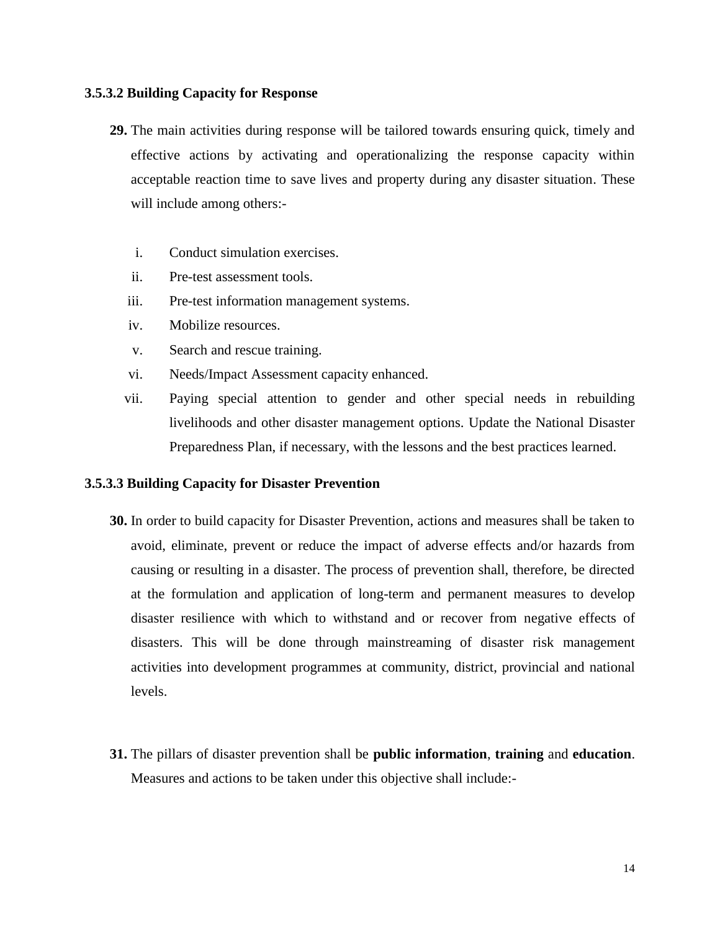### **3.5.3.2 Building Capacity for Response**

- **29.** The main activities during response will be tailored towards ensuring quick, timely and effective actions by activating and operationalizing the response capacity within acceptable reaction time to save lives and property during any disaster situation. These will include among others:
	- i. Conduct simulation exercises.
	- ii. Pre-test assessment tools.
	- iii. Pre-test information management systems.
	- iv. Mobilize resources.
	- v. Search and rescue training.
	- vi. Needs/Impact Assessment capacity enhanced.
	- vii. Paying special attention to gender and other special needs in rebuilding livelihoods and other disaster management options. Update the National Disaster Preparedness Plan, if necessary, with the lessons and the best practices learned.

### **3.5.3.3 Building Capacity for Disaster Prevention**

- **30.** In order to build capacity for Disaster Prevention, actions and measures shall be taken to avoid, eliminate, prevent or reduce the impact of adverse effects and/or hazards from causing or resulting in a disaster. The process of prevention shall, therefore, be directed at the formulation and application of long-term and permanent measures to develop disaster resilience with which to withstand and or recover from negative effects of disasters. This will be done through mainstreaming of disaster risk management activities into development programmes at community, district, provincial and national levels.
- **31.** The pillars of disaster prevention shall be **public information**, **training** and **education**. Measures and actions to be taken under this objective shall include:-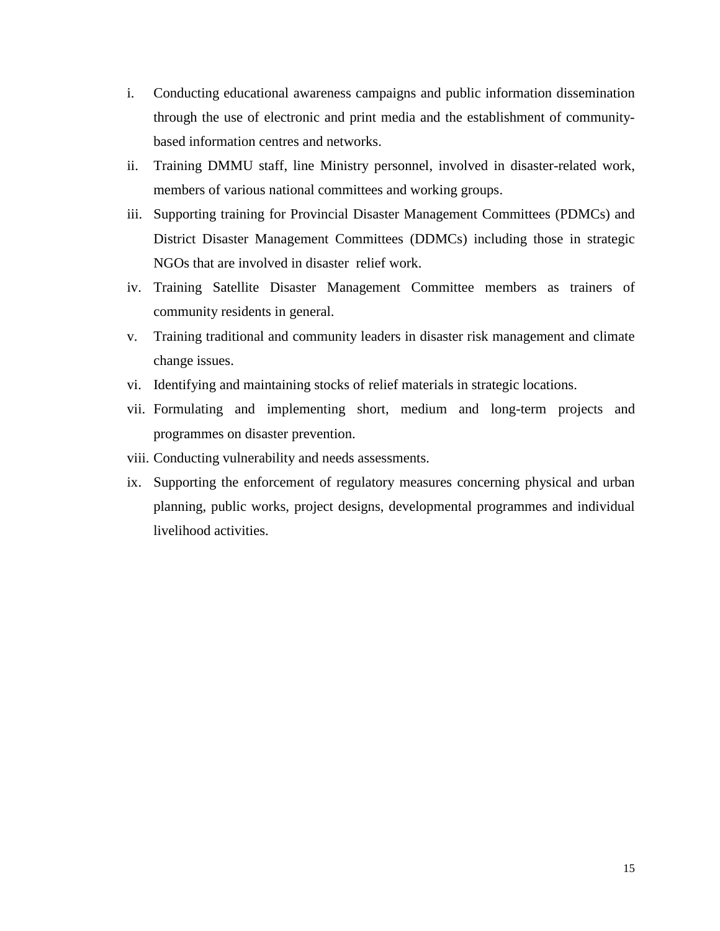- i. Conducting educational awareness campaigns and public information dissemination through the use of electronic and print media and the establishment of communitybased information centres and networks.
- ii. Training DMMU staff, line Ministry personnel, involved in disaster-related work, members of various national committees and working groups.
- iii. Supporting training for Provincial Disaster Management Committees (PDMCs) and District Disaster Management Committees (DDMCs) including those in strategic NGOs that are involved in disaster relief work.
- iv. Training Satellite Disaster Management Committee members as trainers of community residents in general.
- v. Training traditional and community leaders in disaster risk management and climate change issues.
- vi. Identifying and maintaining stocks of relief materials in strategic locations.
- vii. Formulating and implementing short, medium and long-term projects and programmes on disaster prevention.
- viii. Conducting vulnerability and needs assessments.
- ix. Supporting the enforcement of regulatory measures concerning physical and urban planning, public works, project designs, developmental programmes and individual livelihood activities.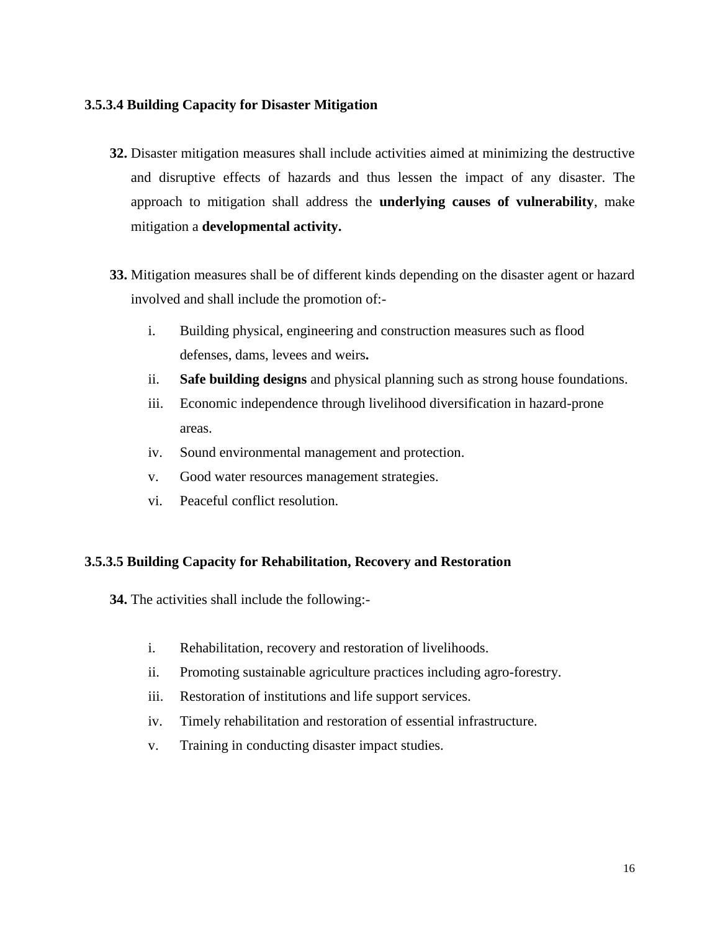### **3.5.3.4 Building Capacity for Disaster Mitigation**

- **32.** Disaster mitigation measures shall include activities aimed at minimizing the destructive and disruptive effects of hazards and thus lessen the impact of any disaster. The approach to mitigation shall address the **underlying causes of vulnerability**, make mitigation a **developmental activity.**
- **33.** Mitigation measures shall be of different kinds depending on the disaster agent or hazard involved and shall include the promotion of:
	- i. Building physical, engineering and construction measures such as flood defenses, dams, levees and weirs**.**
	- ii. **Safe building designs** and physical planning such as strong house foundations.
	- iii. Economic independence through livelihood diversification in hazard-prone areas.
	- iv. Sound environmental management and protection.
	- v. Good water resources management strategies.
	- vi. Peaceful conflict resolution.

### **3.5.3.5 Building Capacity for Rehabilitation, Recovery and Restoration**

- **34.** The activities shall include the following:
	- i. Rehabilitation, recovery and restoration of livelihoods.
	- ii. Promoting sustainable agriculture practices including agro-forestry.
	- iii. Restoration of institutions and life support services.
	- iv. Timely rehabilitation and restoration of essential infrastructure.
	- v. Training in conducting disaster impact studies.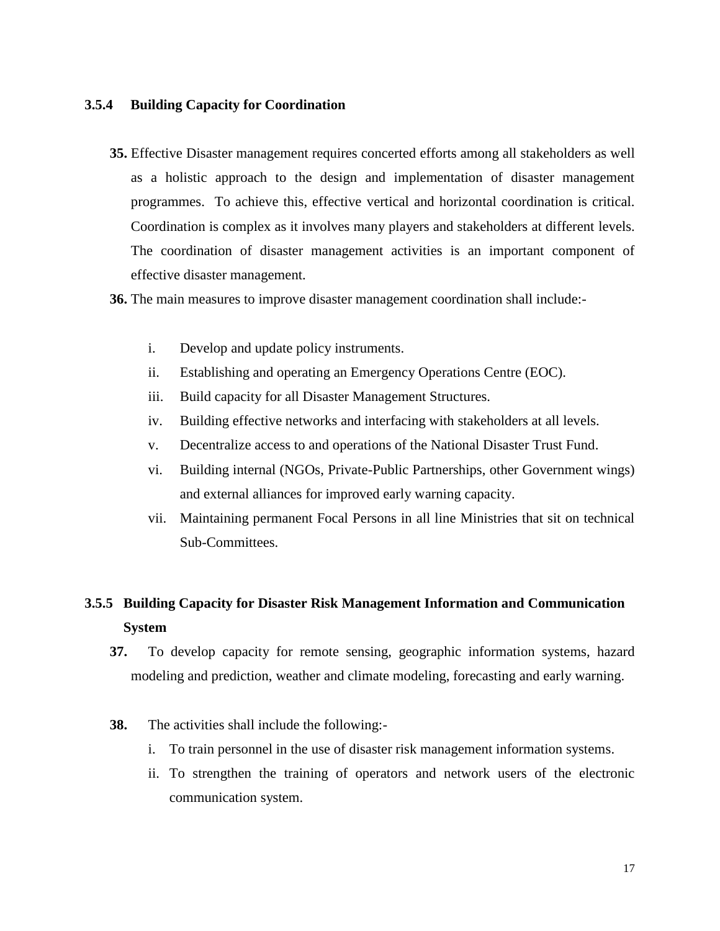### **3.5.4 Building Capacity for Coordination**

**35.** Effective Disaster management requires concerted efforts among all stakeholders as well as a holistic approach to the design and implementation of disaster management programmes. To achieve this, effective vertical and horizontal coordination is critical. Coordination is complex as it involves many players and stakeholders at different levels. The coordination of disaster management activities is an important component of effective disaster management.

### **36.** The main measures to improve disaster management coordination shall include:-

- i. Develop and update policy instruments.
- ii. Establishing and operating an Emergency Operations Centre (EOC).
- iii. Build capacity for all Disaster Management Structures.
- iv. Building effective networks and interfacing with stakeholders at all levels.
- v. Decentralize access to and operations of the National Disaster Trust Fund.
- vi. Building internal (NGOs, Private-Public Partnerships, other Government wings) and external alliances for improved early warning capacity.
- vii. Maintaining permanent Focal Persons in all line Ministries that sit on technical Sub-Committees.

## **3.5.5 Building Capacity for Disaster Risk Management Information and Communication System**

- **37.** To develop capacity for remote sensing, geographic information systems, hazard modeling and prediction, weather and climate modeling, forecasting and early warning.
- **38.** The activities shall include the following:
	- i. To train personnel in the use of disaster risk management information systems.
	- ii. To strengthen the training of operators and network users of the electronic communication system.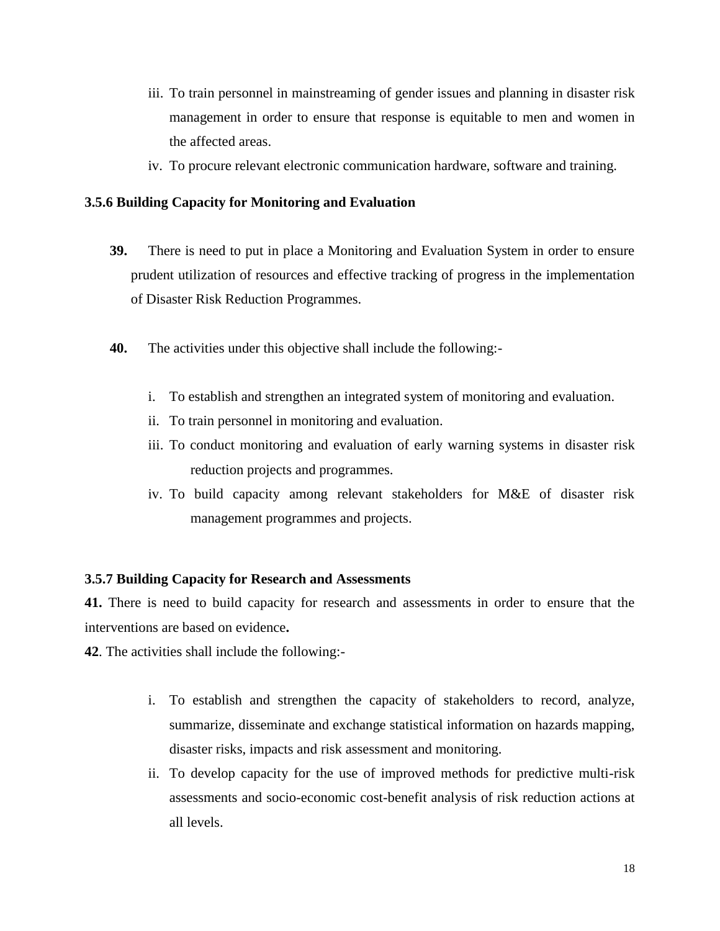- iii. To train personnel in mainstreaming of gender issues and planning in disaster risk management in order to ensure that response is equitable to men and women in the affected areas.
- iv. To procure relevant electronic communication hardware, software and training.

### **3.5.6 Building Capacity for Monitoring and Evaluation**

- **39.** There is need to put in place a Monitoring and Evaluation System in order to ensure prudent utilization of resources and effective tracking of progress in the implementation of Disaster Risk Reduction Programmes.
- **40.** The activities under this objective shall include the following:
	- i. To establish and strengthen an integrated system of monitoring and evaluation.
	- ii. To train personnel in monitoring and evaluation.
	- iii. To conduct monitoring and evaluation of early warning systems in disaster risk reduction projects and programmes.
	- iv. To build capacity among relevant stakeholders for M&E of disaster risk management programmes and projects.

### **3.5.7 Building Capacity for Research and Assessments**

**41.** There is need to build capacity for research and assessments in order to ensure that the interventions are based on evidence**.**

**42**. The activities shall include the following:-

- i. To establish and strengthen the capacity of stakeholders to record, analyze, summarize, disseminate and exchange statistical information on hazards mapping, disaster risks, impacts and risk assessment and monitoring.
- ii. To develop capacity for the use of improved methods for predictive multi-risk assessments and socio-economic cost-benefit analysis of risk reduction actions at all levels.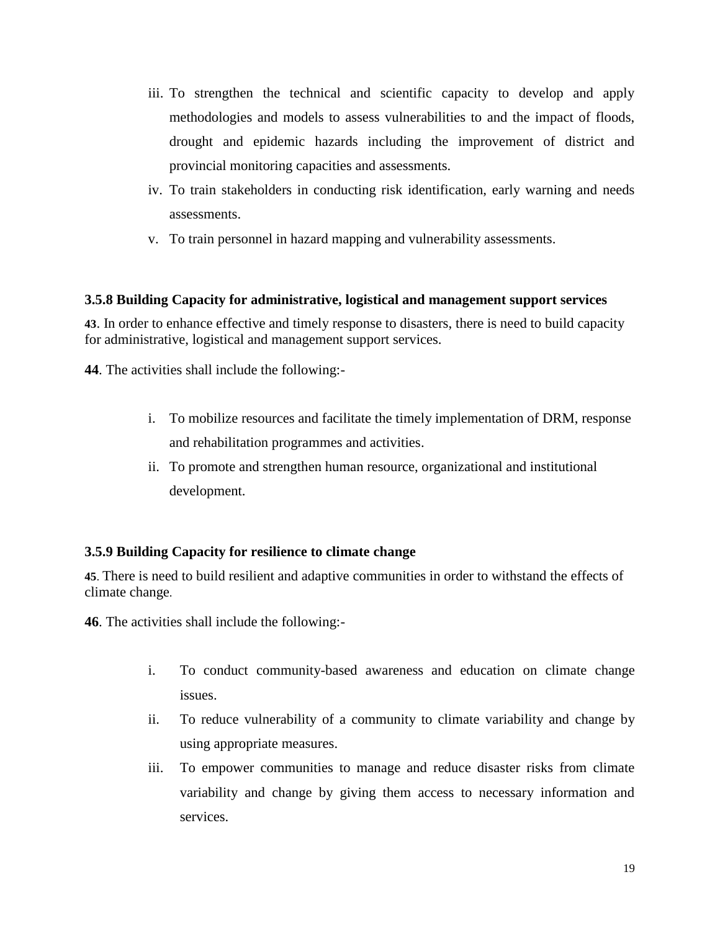- iii. To strengthen the technical and scientific capacity to develop and apply methodologies and models to assess vulnerabilities to and the impact of floods, drought and epidemic hazards including the improvement of district and provincial monitoring capacities and assessments.
- iv. To train stakeholders in conducting risk identification, early warning and needs assessments.
- v. To train personnel in hazard mapping and vulnerability assessments.

### **3.5.8 Building Capacity for administrative, logistical and management support services**

**43**. In order to enhance effective and timely response to disasters, there is need to build capacity for administrative, logistical and management support services.

**44**. The activities shall include the following:-

- i. To mobilize resources and facilitate the timely implementation of DRM, response and rehabilitation programmes and activities.
- ii. To promote and strengthen human resource, organizational and institutional development.

## **3.5.9 Building Capacity for resilience to climate change**

**45**. There is need to build resilient and adaptive communities in order to withstand the effects of climate change.

**46**. The activities shall include the following:-

- i. To conduct community-based awareness and education on climate change issues.
- ii. To reduce vulnerability of a community to climate variability and change by using appropriate measures.
- iii. To empower communities to manage and reduce disaster risks from climate variability and change by giving them access to necessary information and services.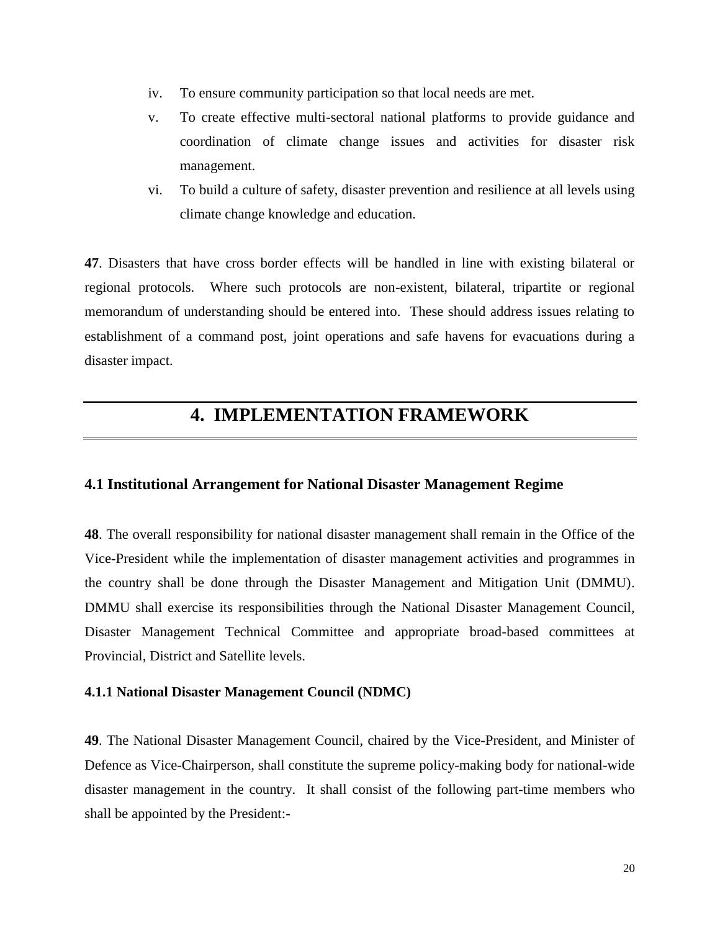- iv. To ensure community participation so that local needs are met.
- v. To create effective multi-sectoral national platforms to provide guidance and coordination of climate change issues and activities for disaster risk management.
- vi. To build a culture of safety, disaster prevention and resilience at all levels using climate change knowledge and education.

**47**. Disasters that have cross border effects will be handled in line with existing bilateral or regional protocols. Where such protocols are non-existent, bilateral, tripartite or regional memorandum of understanding should be entered into. These should address issues relating to establishment of a command post, joint operations and safe havens for evacuations during a disaster impact.

## **4. IMPLEMENTATION FRAMEWORK**

### **4.1 Institutional Arrangement for National Disaster Management Regime**

**48**. The overall responsibility for national disaster management shall remain in the Office of the Vice-President while the implementation of disaster management activities and programmes in the country shall be done through the Disaster Management and Mitigation Unit (DMMU). DMMU shall exercise its responsibilities through the National Disaster Management Council, Disaster Management Technical Committee and appropriate broad-based committees at Provincial, District and Satellite levels.

### **4.1.1 National Disaster Management Council (NDMC)**

**49**. The National Disaster Management Council, chaired by the Vice-President, and Minister of Defence as Vice-Chairperson, shall constitute the supreme policy-making body for national-wide disaster management in the country. It shall consist of the following part-time members who shall be appointed by the President:-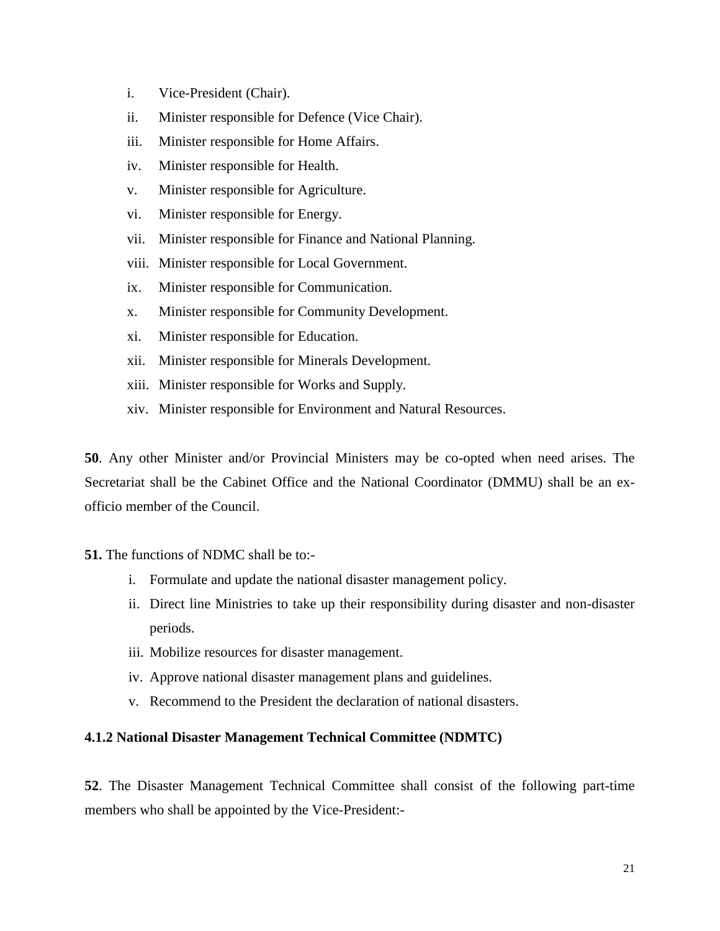- i. Vice-President (Chair).
- ii. Minister responsible for Defence (Vice Chair).
- iii. Minister responsible for Home Affairs.
- iv. Minister responsible for Health.
- v. Minister responsible for Agriculture.
- vi. Minister responsible for Energy.
- vii. Minister responsible for Finance and National Planning.
- viii. Minister responsible for Local Government.
- ix. Minister responsible for Communication.
- x. Minister responsible for Community Development.
- xi. Minister responsible for Education.
- xii. Minister responsible for Minerals Development.
- xiii. Minister responsible for Works and Supply.
- xiv. Minister responsible for Environment and Natural Resources.

**50**. Any other Minister and/or Provincial Ministers may be co-opted when need arises. The Secretariat shall be the Cabinet Office and the National Coordinator (DMMU) shall be an exofficio member of the Council.

### **51.** The functions of NDMC shall be to:-

- i. Formulate and update the national disaster management policy.
- ii. Direct line Ministries to take up their responsibility during disaster and non-disaster periods.
- iii. Mobilize resources for disaster management.
- iv. Approve national disaster management plans and guidelines.
- v. Recommend to the President the declaration of national disasters.

## **4.1.2 National Disaster Management Technical Committee (NDMTC)**

**52**. The Disaster Management Technical Committee shall consist of the following part-time members who shall be appointed by the Vice-President:-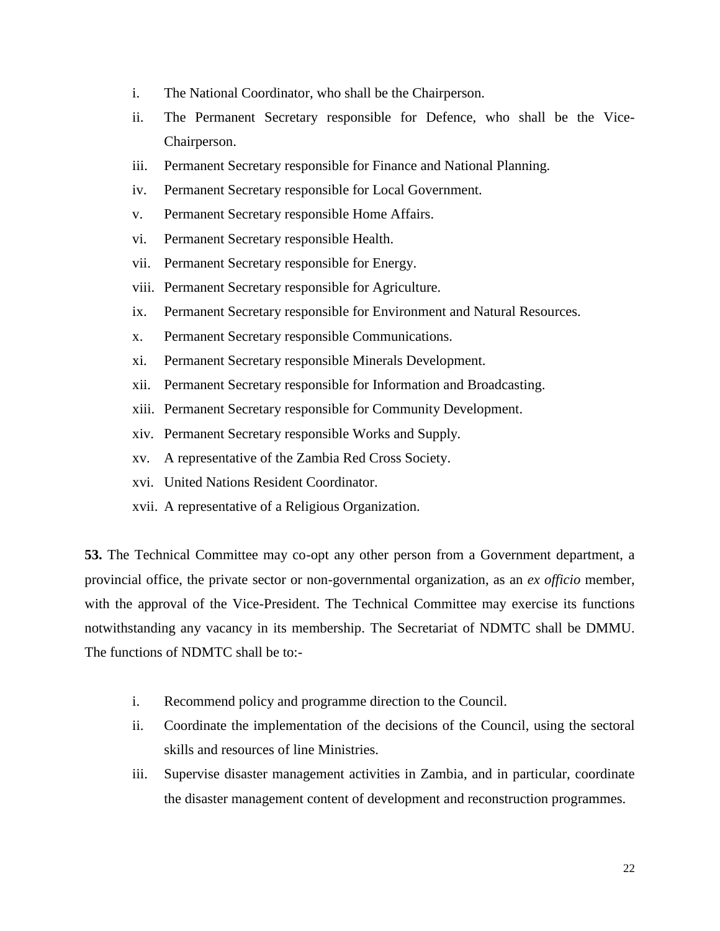- i. The National Coordinator, who shall be the Chairperson.
- ii. The Permanent Secretary responsible for Defence, who shall be the Vice-Chairperson.
- iii. Permanent Secretary responsible for Finance and National Planning.
- iv. Permanent Secretary responsible for Local Government.
- v. Permanent Secretary responsible Home Affairs.
- vi. Permanent Secretary responsible Health.
- vii. Permanent Secretary responsible for Energy.
- viii. Permanent Secretary responsible for Agriculture.
- ix. Permanent Secretary responsible for Environment and Natural Resources.
- x. Permanent Secretary responsible Communications.
- xi. Permanent Secretary responsible Minerals Development.
- xii. Permanent Secretary responsible for Information and Broadcasting.
- xiii. Permanent Secretary responsible for Community Development.
- xiv. Permanent Secretary responsible Works and Supply.
- xv. A representative of the Zambia Red Cross Society.
- xvi. United Nations Resident Coordinator.
- xvii. A representative of a Religious Organization.

**53.** The Technical Committee may co-opt any other person from a Government department, a provincial office, the private sector or non-governmental organization, as an *ex officio* member, with the approval of the Vice-President. The Technical Committee may exercise its functions notwithstanding any vacancy in its membership. The Secretariat of NDMTC shall be DMMU. The functions of NDMTC shall be to:-

- i. Recommend policy and programme direction to the Council.
- ii. Coordinate the implementation of the decisions of the Council, using the sectoral skills and resources of line Ministries.
- iii. Supervise disaster management activities in Zambia, and in particular, coordinate the disaster management content of development and reconstruction programmes.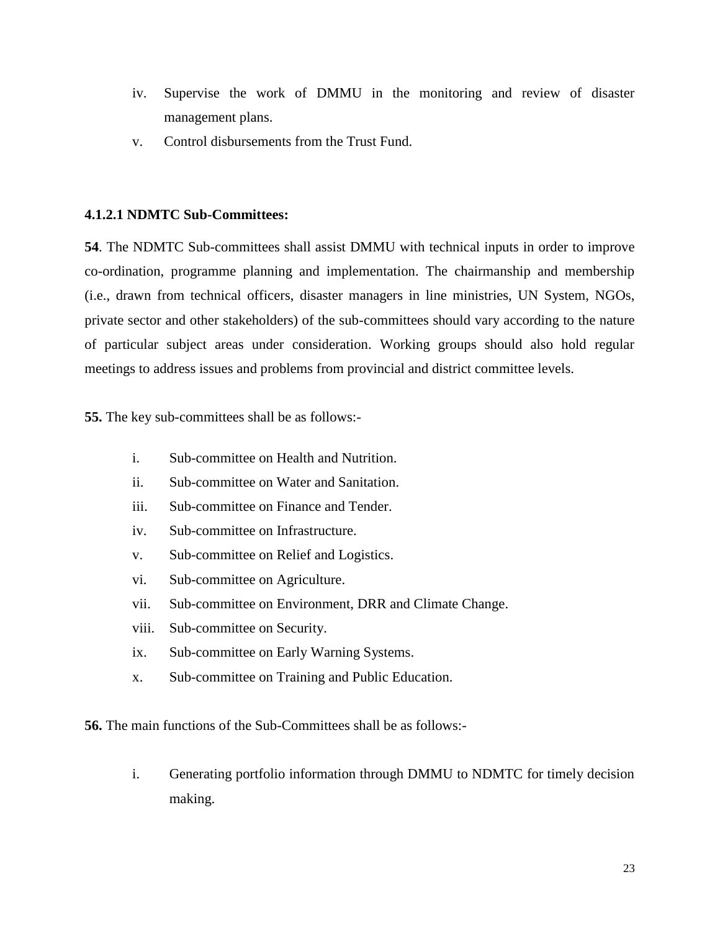- iv. Supervise the work of DMMU in the monitoring and review of disaster management plans.
- v. Control disbursements from the Trust Fund.

## **4.1.2.1 NDMTC Sub-Committees:**

**54**. The NDMTC Sub-committees shall assist DMMU with technical inputs in order to improve co-ordination, programme planning and implementation. The chairmanship and membership (i.e., drawn from technical officers, disaster managers in line ministries, UN System, NGOs, private sector and other stakeholders) of the sub-committees should vary according to the nature of particular subject areas under consideration. Working groups should also hold regular meetings to address issues and problems from provincial and district committee levels.

**55.** The key sub-committees shall be as follows:-

- i. Sub-committee on Health and Nutrition.
- ii. Sub-committee on Water and Sanitation.
- iii. Sub-committee on Finance and Tender.
- iv. Sub-committee on Infrastructure.
- v. Sub-committee on Relief and Logistics.
- vi. Sub-committee on Agriculture.
- vii. Sub-committee on Environment, DRR and Climate Change.
- viii. Sub-committee on Security.
- ix. Sub-committee on Early Warning Systems.
- x. Sub-committee on Training and Public Education.

**56.** The main functions of the Sub-Committees shall be as follows:-

i. Generating portfolio information through DMMU to NDMTC for timely decision making.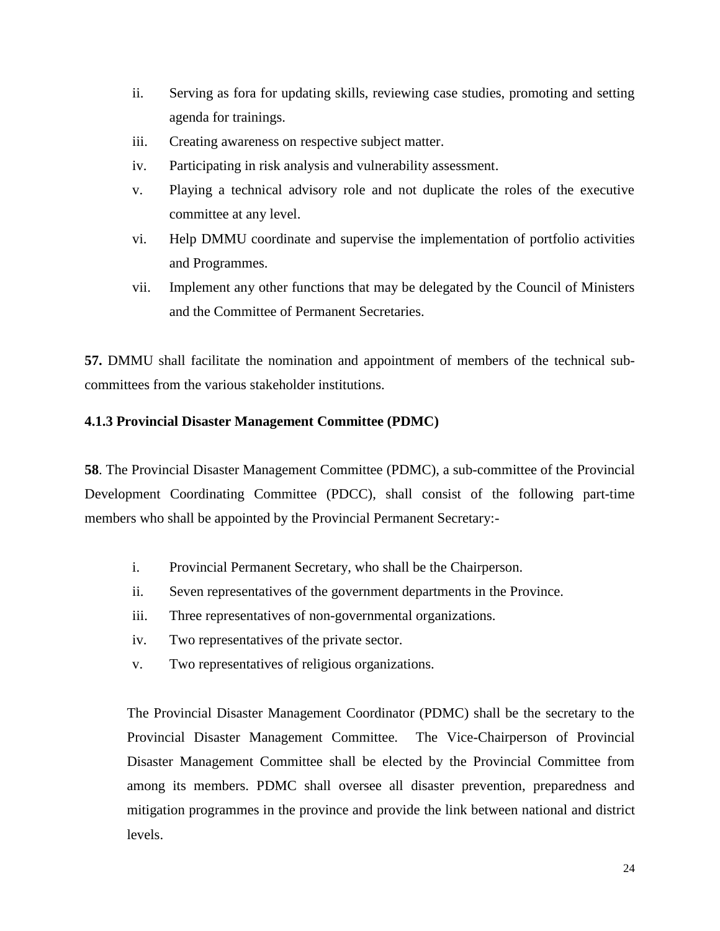- ii. Serving as fora for updating skills, reviewing case studies, promoting and setting agenda for trainings.
- iii. Creating awareness on respective subject matter.
- iv. Participating in risk analysis and vulnerability assessment.
- v. Playing a technical advisory role and not duplicate the roles of the executive committee at any level.
- vi. Help DMMU coordinate and supervise the implementation of portfolio activities and Programmes.
- vii. Implement any other functions that may be delegated by the Council of Ministers and the Committee of Permanent Secretaries.

**57.** DMMU shall facilitate the nomination and appointment of members of the technical subcommittees from the various stakeholder institutions.

### **4.1.3 Provincial Disaster Management Committee (PDMC)**

**58**. The Provincial Disaster Management Committee (PDMC), a sub-committee of the Provincial Development Coordinating Committee (PDCC), shall consist of the following part-time members who shall be appointed by the Provincial Permanent Secretary:-

- i. Provincial Permanent Secretary, who shall be the Chairperson.
- ii. Seven representatives of the government departments in the Province.
- iii. Three representatives of non-governmental organizations.
- iv. Two representatives of the private sector.
- v. Two representatives of religious organizations.

The Provincial Disaster Management Coordinator (PDMC) shall be the secretary to the Provincial Disaster Management Committee. The Vice-Chairperson of Provincial Disaster Management Committee shall be elected by the Provincial Committee from among its members. PDMC shall oversee all disaster prevention, preparedness and mitigation programmes in the province and provide the link between national and district levels.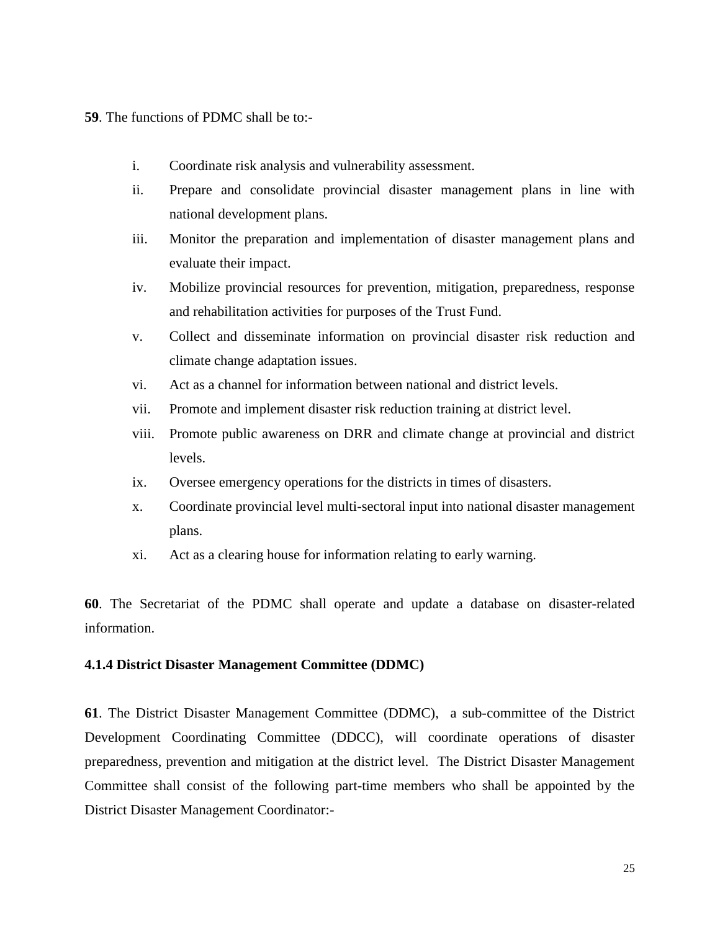**59**. The functions of PDMC shall be to:-

- i. Coordinate risk analysis and vulnerability assessment.
- ii. Prepare and consolidate provincial disaster management plans in line with national development plans.
- iii. Monitor the preparation and implementation of disaster management plans and evaluate their impact.
- iv. Mobilize provincial resources for prevention, mitigation, preparedness, response and rehabilitation activities for purposes of the Trust Fund.
- v. Collect and disseminate information on provincial disaster risk reduction and climate change adaptation issues.
- vi. Act as a channel for information between national and district levels.
- vii. Promote and implement disaster risk reduction training at district level.
- viii. Promote public awareness on DRR and climate change at provincial and district levels.
- ix. Oversee emergency operations for the districts in times of disasters.
- x. Coordinate provincial level multi-sectoral input into national disaster management plans.
- xi. Act as a clearing house for information relating to early warning.

**60**. The Secretariat of the PDMC shall operate and update a database on disaster-related information.

### **4.1.4 District Disaster Management Committee (DDMC)**

**61**. The District Disaster Management Committee (DDMC), a sub-committee of the District Development Coordinating Committee (DDCC), will coordinate operations of disaster preparedness, prevention and mitigation at the district level. The District Disaster Management Committee shall consist of the following part-time members who shall be appointed by the District Disaster Management Coordinator:-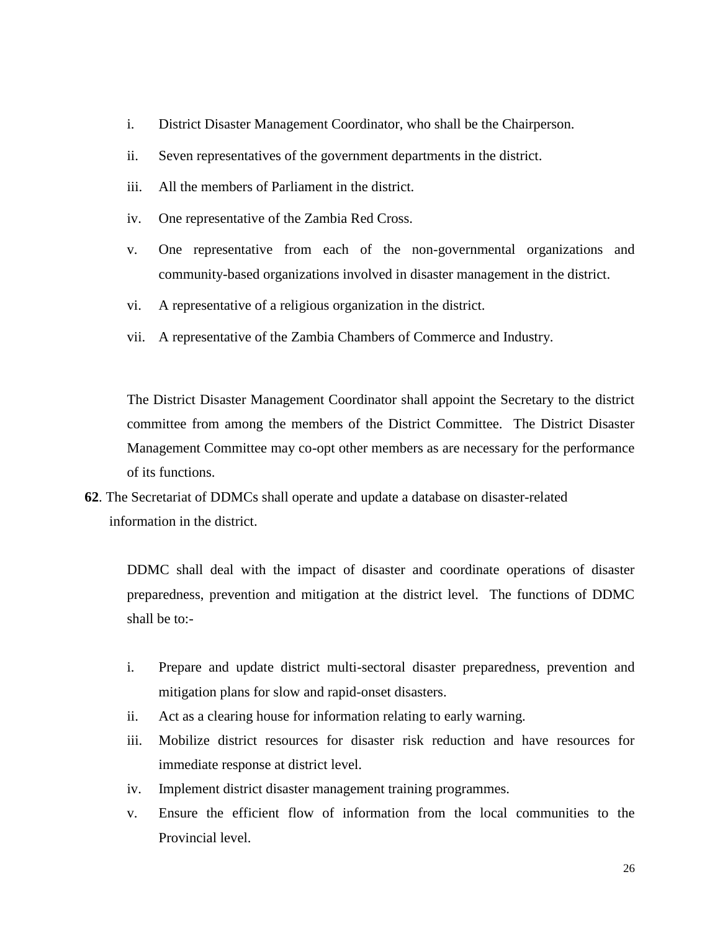- i. District Disaster Management Coordinator, who shall be the Chairperson.
- ii. Seven representatives of the government departments in the district.
- iii. All the members of Parliament in the district.
- iv. One representative of the Zambia Red Cross.
- v. One representative from each of the non-governmental organizations and community-based organizations involved in disaster management in the district.
- vi. A representative of a religious organization in the district.
- vii. A representative of the Zambia Chambers of Commerce and Industry.

The District Disaster Management Coordinator shall appoint the Secretary to the district committee from among the members of the District Committee. The District Disaster Management Committee may co-opt other members as are necessary for the performance of its functions.

**62**. The Secretariat of DDMCs shall operate and update a database on disaster-related information in the district.

DDMC shall deal with the impact of disaster and coordinate operations of disaster preparedness, prevention and mitigation at the district level. The functions of DDMC shall be to:-

- i. Prepare and update district multi-sectoral disaster preparedness, prevention and mitigation plans for slow and rapid-onset disasters.
- ii. Act as a clearing house for information relating to early warning.
- iii. Mobilize district resources for disaster risk reduction and have resources for immediate response at district level.
- iv. Implement district disaster management training programmes.
- v. Ensure the efficient flow of information from the local communities to the Provincial level.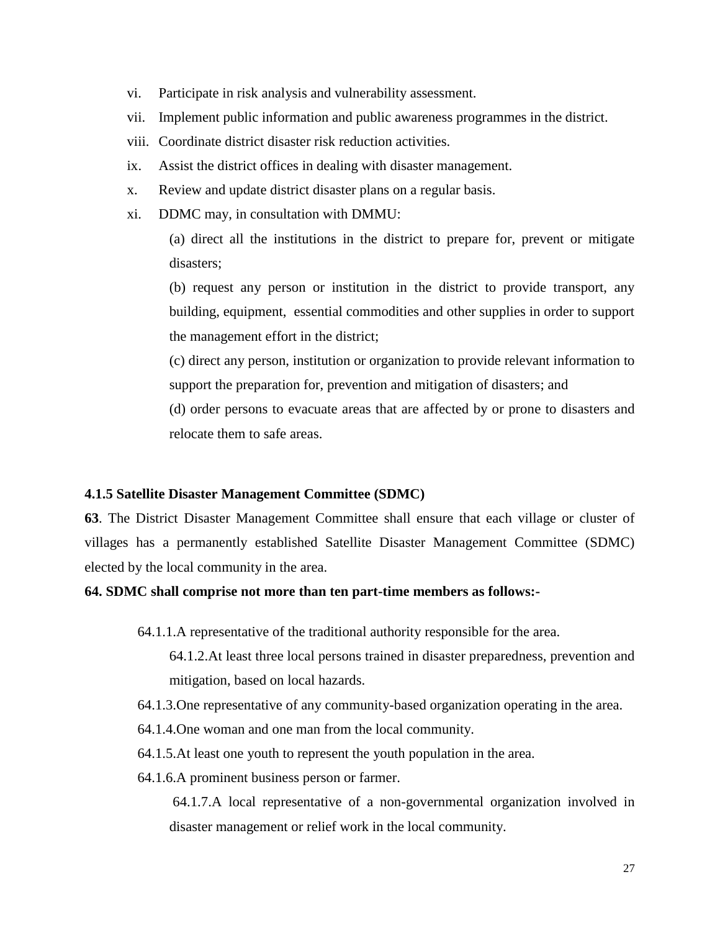- vi. Participate in risk analysis and vulnerability assessment.
- vii. Implement public information and public awareness programmes in the district.
- viii. Coordinate district disaster risk reduction activities.
- ix. Assist the district offices in dealing with disaster management.
- x. Review and update district disaster plans on a regular basis.
- xi. DDMC may, in consultation with DMMU:

(a) direct all the institutions in the district to prepare for, prevent or mitigate disasters;

(b) request any person or institution in the district to provide transport, any building, equipment, essential commodities and other supplies in order to support the management effort in the district;

(c) direct any person, institution or organization to provide relevant information to support the preparation for, prevention and mitigation of disasters; and

(d) order persons to evacuate areas that are affected by or prone to disasters and relocate them to safe areas.

### **4.1.5 Satellite Disaster Management Committee (SDMC)**

**63**. The District Disaster Management Committee shall ensure that each village or cluster of villages has a permanently established Satellite Disaster Management Committee (SDMC) elected by the local community in the area.

### **64. SDMC shall comprise not more than ten part-time members as follows:-**

64.1.1.A representative of the traditional authority responsible for the area.

64.1.2.At least three local persons trained in disaster preparedness, prevention and mitigation, based on local hazards.

64.1.3.One representative of any community-based organization operating in the area.

- 64.1.4.One woman and one man from the local community.
- 64.1.5.At least one youth to represent the youth population in the area.
- 64.1.6.A prominent business person or farmer.

64.1.7.A local representative of a non-governmental organization involved in disaster management or relief work in the local community.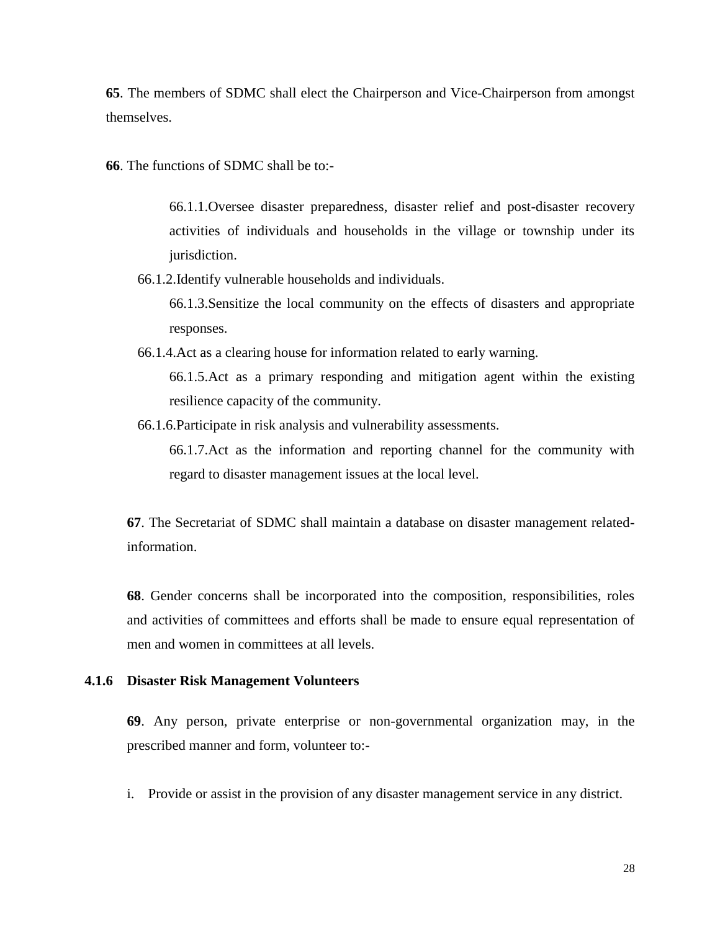**65**. The members of SDMC shall elect the Chairperson and Vice-Chairperson from amongst themselves.

**66**. The functions of SDMC shall be to:-

66.1.1.Oversee disaster preparedness, disaster relief and post-disaster recovery activities of individuals and households in the village or township under its jurisdiction.

66.1.2.Identify vulnerable households and individuals.

66.1.3.Sensitize the local community on the effects of disasters and appropriate responses.

66.1.4.Act as a clearing house for information related to early warning.

66.1.5.Act as a primary responding and mitigation agent within the existing resilience capacity of the community.

66.1.6.Participate in risk analysis and vulnerability assessments.

66.1.7.Act as the information and reporting channel for the community with regard to disaster management issues at the local level.

**67**. The Secretariat of SDMC shall maintain a database on disaster management relatedinformation.

**68**. Gender concerns shall be incorporated into the composition, responsibilities, roles and activities of committees and efforts shall be made to ensure equal representation of men and women in committees at all levels.

### **4.1.6 Disaster Risk Management Volunteers**

**69**. Any person, private enterprise or non-governmental organization may, in the prescribed manner and form, volunteer to:-

i. Provide or assist in the provision of any disaster management service in any district.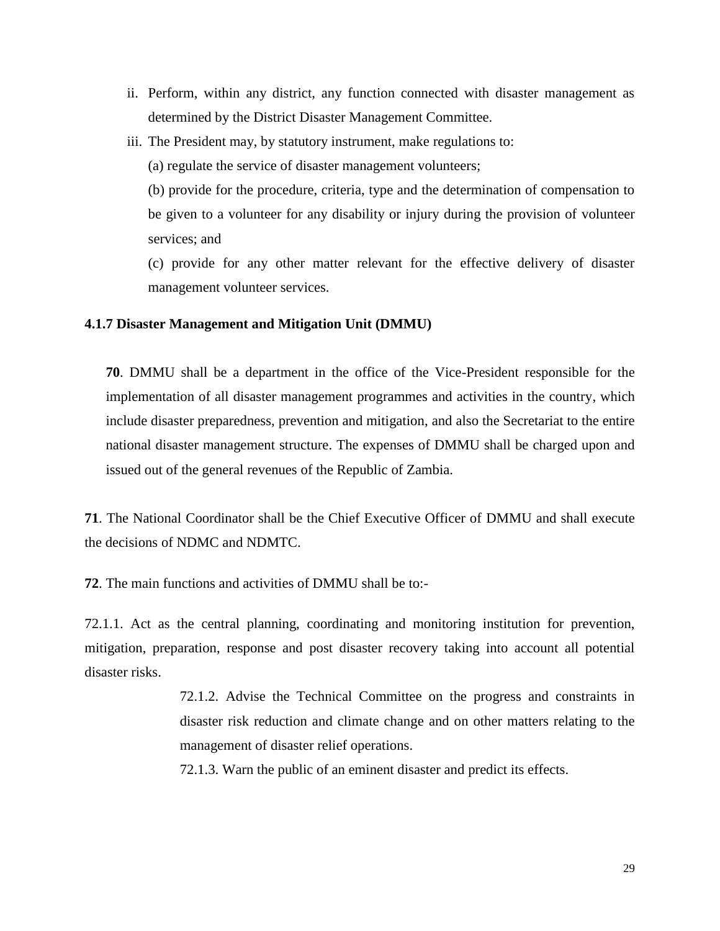- ii. Perform, within any district, any function connected with disaster management as determined by the District Disaster Management Committee.
- iii. The President may, by statutory instrument, make regulations to:

(a) regulate the service of disaster management volunteers;

(b) provide for the procedure, criteria, type and the determination of compensation to be given to a volunteer for any disability or injury during the provision of volunteer services; and

(c) provide for any other matter relevant for the effective delivery of disaster management volunteer services.

### **4.1.7 Disaster Management and Mitigation Unit (DMMU)**

**70**. DMMU shall be a department in the office of the Vice-President responsible for the implementation of all disaster management programmes and activities in the country, which include disaster preparedness, prevention and mitigation, and also the Secretariat to the entire national disaster management structure. The expenses of DMMU shall be charged upon and issued out of the general revenues of the Republic of Zambia.

**71**. The National Coordinator shall be the Chief Executive Officer of DMMU and shall execute the decisions of NDMC and NDMTC.

**72**. The main functions and activities of DMMU shall be to:-

72.1.1. Act as the central planning, coordinating and monitoring institution for prevention, mitigation, preparation, response and post disaster recovery taking into account all potential disaster risks.

> 72.1.2. Advise the Technical Committee on the progress and constraints in disaster risk reduction and climate change and on other matters relating to the management of disaster relief operations.

72.1.3. Warn the public of an eminent disaster and predict its effects.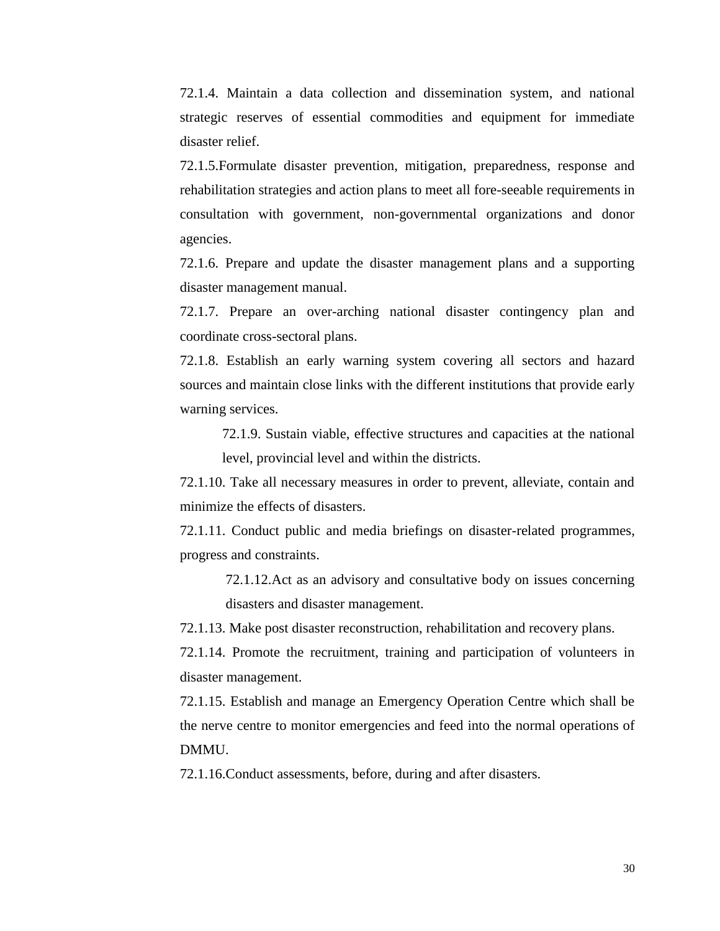72.1.4. Maintain a data collection and dissemination system, and national strategic reserves of essential commodities and equipment for immediate disaster relief.

72.1.5.Formulate disaster prevention, mitigation, preparedness, response and rehabilitation strategies and action plans to meet all fore-seeable requirements in consultation with government, non-governmental organizations and donor agencies.

72.1.6. Prepare and update the disaster management plans and a supporting disaster management manual.

72.1.7. Prepare an over-arching national disaster contingency plan and coordinate cross-sectoral plans.

72.1.8. Establish an early warning system covering all sectors and hazard sources and maintain close links with the different institutions that provide early warning services.

72.1.9. Sustain viable, effective structures and capacities at the national level, provincial level and within the districts.

72.1.10. Take all necessary measures in order to prevent, alleviate, contain and minimize the effects of disasters.

72.1.11. Conduct public and media briefings on disaster-related programmes, progress and constraints.

> 72.1.12.Act as an advisory and consultative body on issues concerning disasters and disaster management.

72.1.13. Make post disaster reconstruction, rehabilitation and recovery plans.

72.1.14. Promote the recruitment, training and participation of volunteers in disaster management.

72.1.15. Establish and manage an Emergency Operation Centre which shall be the nerve centre to monitor emergencies and feed into the normal operations of DMMU.

72.1.16.Conduct assessments, before, during and after disasters.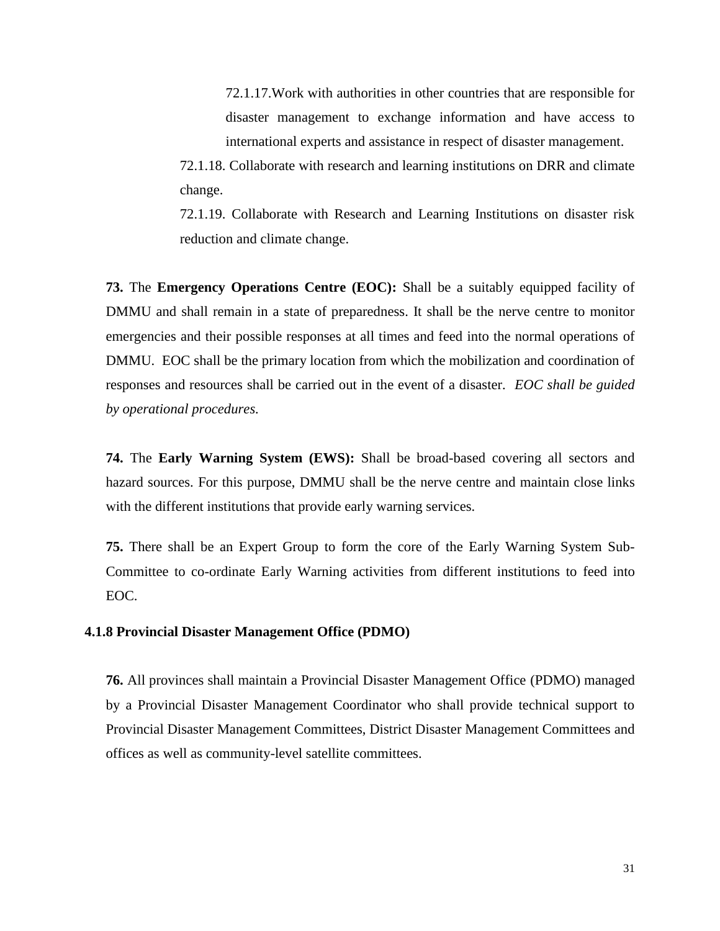72.1.17.Work with authorities in other countries that are responsible for disaster management to exchange information and have access to international experts and assistance in respect of disaster management.

72.1.18. Collaborate with research and learning institutions on DRR and climate change.

72.1.19. Collaborate with Research and Learning Institutions on disaster risk reduction and climate change.

**73.** The **Emergency Operations Centre (EOC):** Shall be a suitably equipped facility of DMMU and shall remain in a state of preparedness. It shall be the nerve centre to monitor emergencies and their possible responses at all times and feed into the normal operations of DMMU. EOC shall be the primary location from which the mobilization and coordination of responses and resources shall be carried out in the event of a disaster. *EOC shall be guided by operational procedures.*

**74.** The **Early Warning System (EWS):** Shall be broad-based covering all sectors and hazard sources. For this purpose, DMMU shall be the nerve centre and maintain close links with the different institutions that provide early warning services.

**75.** There shall be an Expert Group to form the core of the Early Warning System Sub-Committee to co-ordinate Early Warning activities from different institutions to feed into EOC.

#### **4.1.8 Provincial Disaster Management Office (PDMO)**

**76.** All provinces shall maintain a Provincial Disaster Management Office (PDMO) managed by a Provincial Disaster Management Coordinator who shall provide technical support to Provincial Disaster Management Committees, District Disaster Management Committees and offices as well as community-level satellite committees.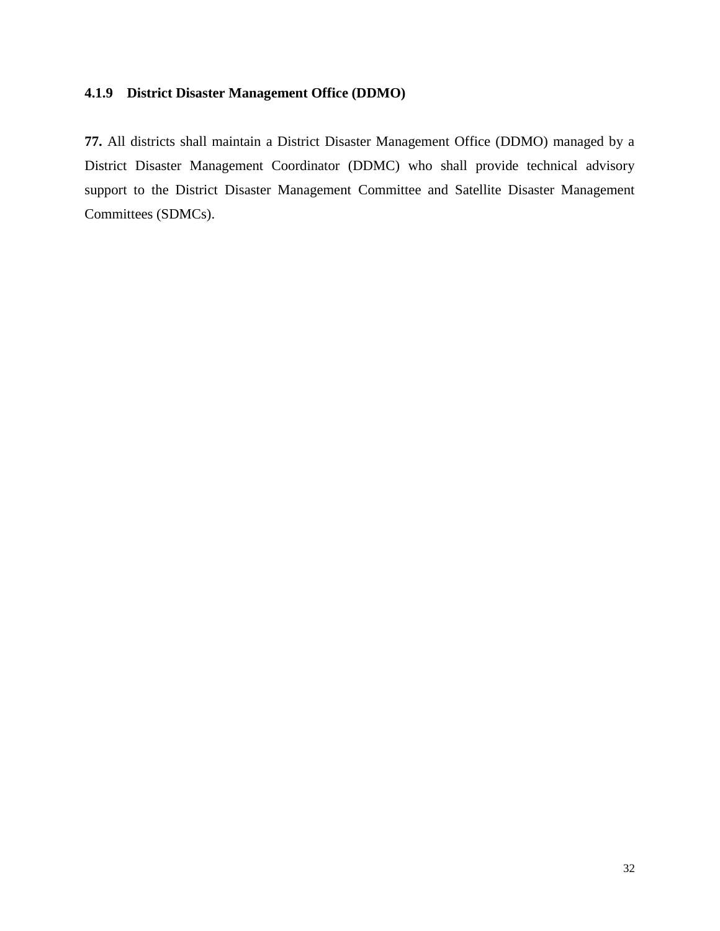## **4.1.9 District Disaster Management Office (DDMO)**

**77.** All districts shall maintain a District Disaster Management Office (DDMO) managed by a District Disaster Management Coordinator (DDMC) who shall provide technical advisory support to the District Disaster Management Committee and Satellite Disaster Management Committees (SDMCs).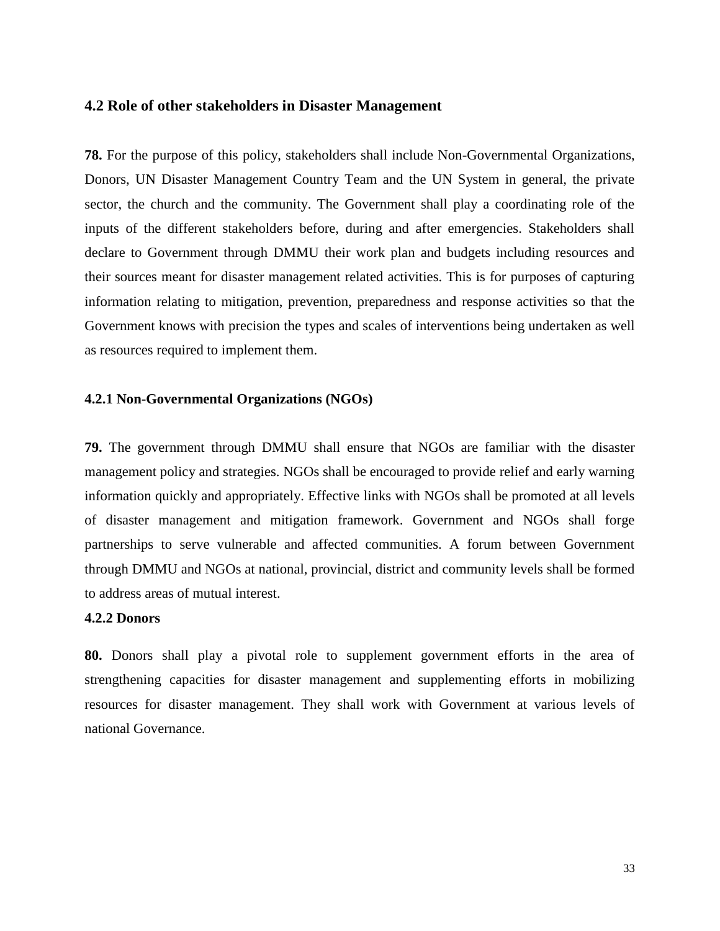### **4.2 Role of other stakeholders in Disaster Management**

**78.** For the purpose of this policy, stakeholders shall include Non-Governmental Organizations, Donors, UN Disaster Management Country Team and the UN System in general, the private sector, the church and the community. The Government shall play a coordinating role of the inputs of the different stakeholders before, during and after emergencies. Stakeholders shall declare to Government through DMMU their work plan and budgets including resources and their sources meant for disaster management related activities. This is for purposes of capturing information relating to mitigation, prevention, preparedness and response activities so that the Government knows with precision the types and scales of interventions being undertaken as well as resources required to implement them.

### **4.2.1 Non-Governmental Organizations (NGOs)**

**79.** The government through DMMU shall ensure that NGOs are familiar with the disaster management policy and strategies. NGOs shall be encouraged to provide relief and early warning information quickly and appropriately. Effective links with NGOs shall be promoted at all levels of disaster management and mitigation framework. Government and NGOs shall forge partnerships to serve vulnerable and affected communities. A forum between Government through DMMU and NGOs at national, provincial, district and community levels shall be formed to address areas of mutual interest.

### **4.2.2 Donors**

**80.** Donors shall play a pivotal role to supplement government efforts in the area of strengthening capacities for disaster management and supplementing efforts in mobilizing resources for disaster management. They shall work with Government at various levels of national Governance.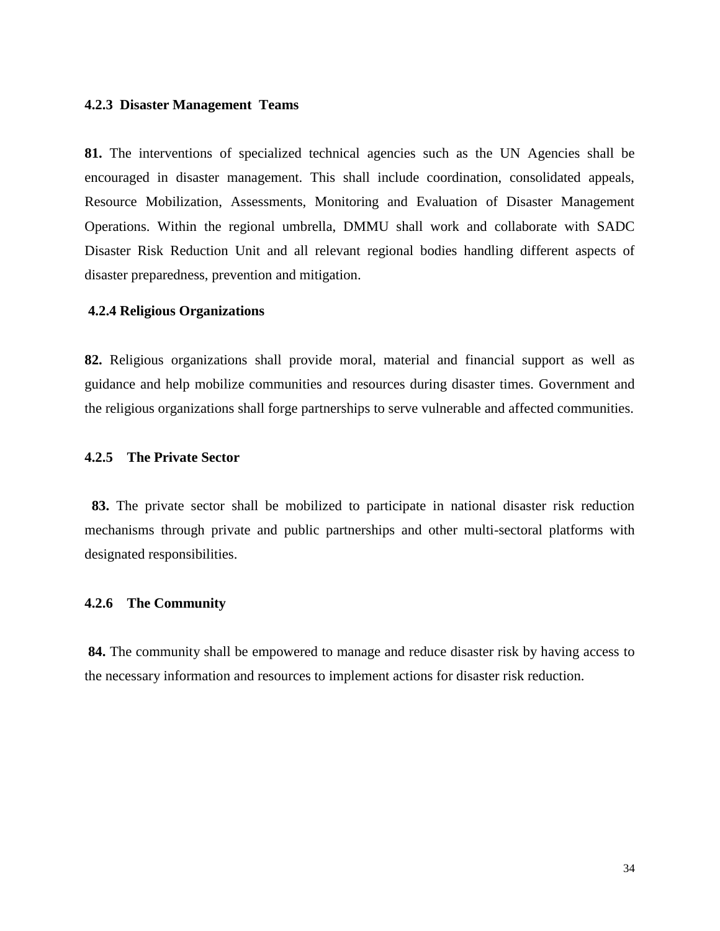### **4.2.3 Disaster Management Teams**

**81.** The interventions of specialized technical agencies such as the UN Agencies shall be encouraged in disaster management. This shall include coordination, consolidated appeals, Resource Mobilization, Assessments, Monitoring and Evaluation of Disaster Management Operations. Within the regional umbrella, DMMU shall work and collaborate with SADC Disaster Risk Reduction Unit and all relevant regional bodies handling different aspects of disaster preparedness, prevention and mitigation.

#### **4.2.4 Religious Organizations**

**82.** Religious organizations shall provide moral, material and financial support as well as guidance and help mobilize communities and resources during disaster times. Government and the religious organizations shall forge partnerships to serve vulnerable and affected communities.

### **4.2.5 The Private Sector**

**83.** The private sector shall be mobilized to participate in national disaster risk reduction mechanisms through private and public partnerships and other multi-sectoral platforms with designated responsibilities.

### **4.2.6 The Community**

**84.** The community shall be empowered to manage and reduce disaster risk by having access to the necessary information and resources to implement actions for disaster risk reduction.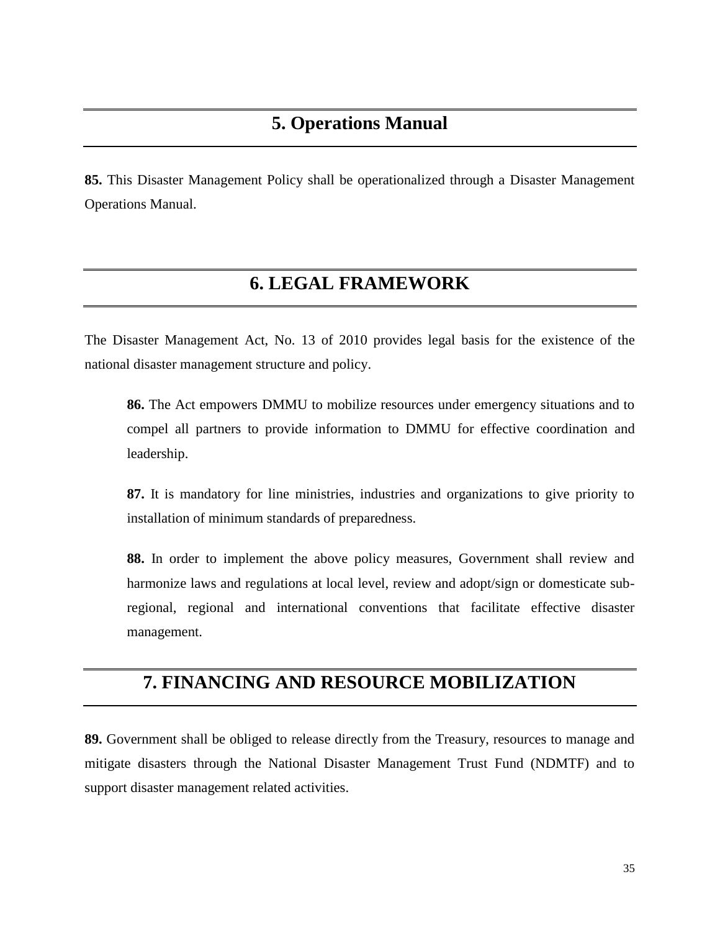**85.** This Disaster Management Policy shall be operationalized through a Disaster Management Operations Manual.

# **6. LEGAL FRAMEWORK**

The Disaster Management Act, No. 13 of 2010 provides legal basis for the existence of the national disaster management structure and policy.

**86.** The Act empowers DMMU to mobilize resources under emergency situations and to compel all partners to provide information to DMMU for effective coordination and leadership.

**87.** It is mandatory for line ministries, industries and organizations to give priority to installation of minimum standards of preparedness.

**88.** In order to implement the above policy measures, Government shall review and harmonize laws and regulations at local level, review and adopt/sign or domesticate subregional, regional and international conventions that facilitate effective disaster management.

## **7. FINANCING AND RESOURCE MOBILIZATION**

**89.** Government shall be obliged to release directly from the Treasury, resources to manage and mitigate disasters through the National Disaster Management Trust Fund (NDMTF) and to support disaster management related activities.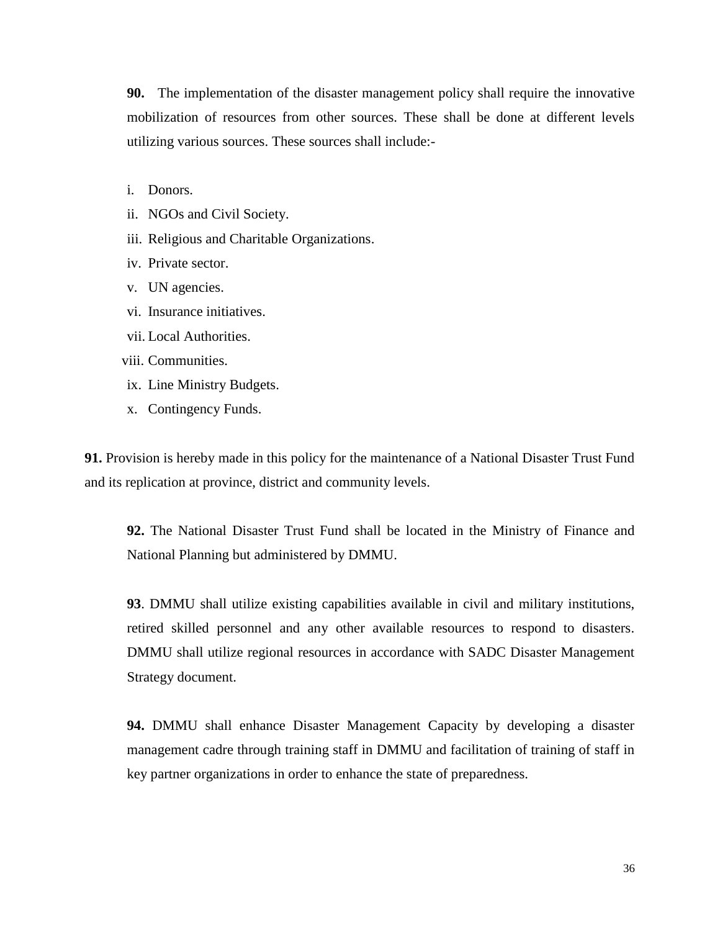**90.** The implementation of the disaster management policy shall require the innovative mobilization of resources from other sources. These shall be done at different levels utilizing various sources. These sources shall include:-

- i. Donors.
- ii. NGOs and Civil Society.
- iii. Religious and Charitable Organizations.
- iv. Private sector.
- v. UN agencies.
- vi. Insurance initiatives.
- vii. Local Authorities.
- viii. Communities.
- ix. Line Ministry Budgets.
- x. Contingency Funds.

**91.** Provision is hereby made in this policy for the maintenance of a National Disaster Trust Fund and its replication at province, district and community levels.

**92.** The National Disaster Trust Fund shall be located in the Ministry of Finance and National Planning but administered by DMMU.

**93**. DMMU shall utilize existing capabilities available in civil and military institutions, retired skilled personnel and any other available resources to respond to disasters. DMMU shall utilize regional resources in accordance with SADC Disaster Management Strategy document.

**94.** DMMU shall enhance Disaster Management Capacity by developing a disaster management cadre through training staff in DMMU and facilitation of training of staff in key partner organizations in order to enhance the state of preparedness.